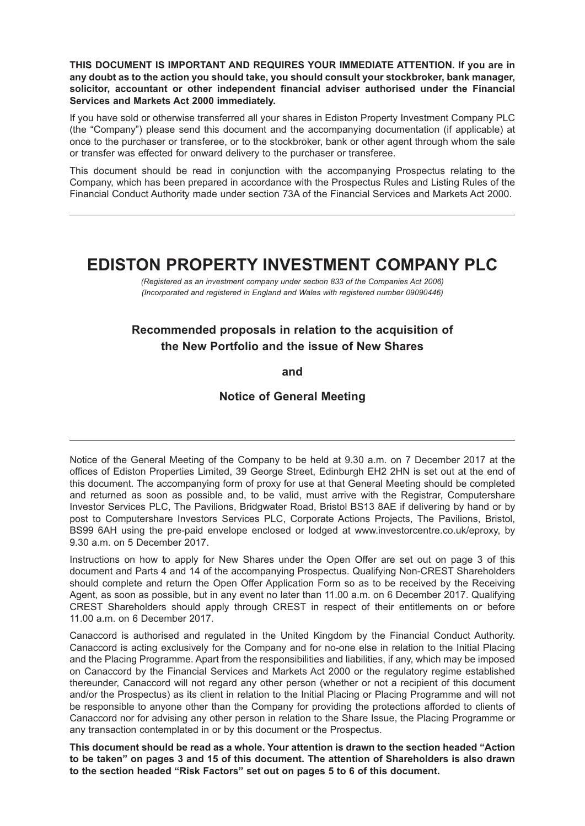**THIS DOCUMENT IS IMPORTANT AND REQUIRES YOUR IMMEDIATE ATTENTION. If you are in any doubt as to the action you should take, you should consult your stockbroker, bank manager, solicitor, accountant or other independent financial adviser authorised under the Financial Services and Markets Act 2000 immediately.**

If you have sold or otherwise transferred all your shares in Ediston Property Investment Company PLC (the "Company") please send this document and the accompanying documentation (if applicable) at once to the purchaser or transferee, or to the stockbroker, bank or other agent through whom the sale or transfer was effected for onward delivery to the purchaser or transferee.

This document should be read in conjunction with the accompanying Prospectus relating to the Company, which has been prepared in accordance with the Prospectus Rules and Listing Rules of the Financial Conduct Authority made under section 73A of the Financial Services and Markets Act 2000.

# **EDISTON PROPERTY INVESTMENT COMPANY PLC**

*(Registered as an investment company under section 833 of the Companies Act 2006) (Incorporated and registered in England and Wales with registered number 09090446)*

## **Recommended proposals in relation to the acquisition of the New Portfolio and the issue of New Shares**

**and**

## **Notice of General Meeting**

Notice of the General Meeting of the Company to be held at 9.30 a.m. on 7 December 2017 at the offices of Ediston Properties Limited, 39 George Street, Edinburgh EH2 2HN is set out at the end of this document. The accompanying form of proxy for use at that General Meeting should be completed and returned as soon as possible and, to be valid, must arrive with the Registrar, Computershare Investor Services PLC, The Pavilions, Bridgwater Road, Bristol BS13 8AE if delivering by hand or by post to Computershare Investors Services PLC, Corporate Actions Projects, The Pavilions, Bristol, BS99 6AH using the pre-paid envelope enclosed or lodged at www.investorcentre.co.uk/eproxy, by 9.30 a.m. on 5 December 2017.

Instructions on how to apply for New Shares under the Open Offer are set out on page 3 of this document and Parts 4 and 14 of the accompanying Prospectus. Qualifying Non-CREST Shareholders should complete and return the Open Offer Application Form so as to be received by the Receiving Agent, as soon as possible, but in any event no later than 11.00 a.m. on 6 December 2017. Qualifying CREST Shareholders should apply through CREST in respect of their entitlements on or before 11.00 a.m. on 6 December 2017.

Canaccord is authorised and regulated in the United Kingdom by the Financial Conduct Authority. Canaccord is acting exclusively for the Company and for no-one else in relation to the Initial Placing and the Placing Programme. Apart from the responsibilities and liabilities, if any, which may be imposed on Canaccord by the Financial Services and Markets Act 2000 or the regulatory regime established thereunder, Canaccord will not regard any other person (whether or not a recipient of this document and/or the Prospectus) as its client in relation to the Initial Placing or Placing Programme and will not be responsible to anyone other than the Company for providing the protections afforded to clients of Canaccord nor for advising any other person in relation to the Share Issue, the Placing Programme or any transaction contemplated in or by this document or the Prospectus.

**This document should be read as a whole. Your attention is drawn to the section headed "Action to be taken" on pages 3 and 15 of this document. The attention of Shareholders is also drawn to the section headed "Risk Factors" set out on pages 5 to 6 of this document.**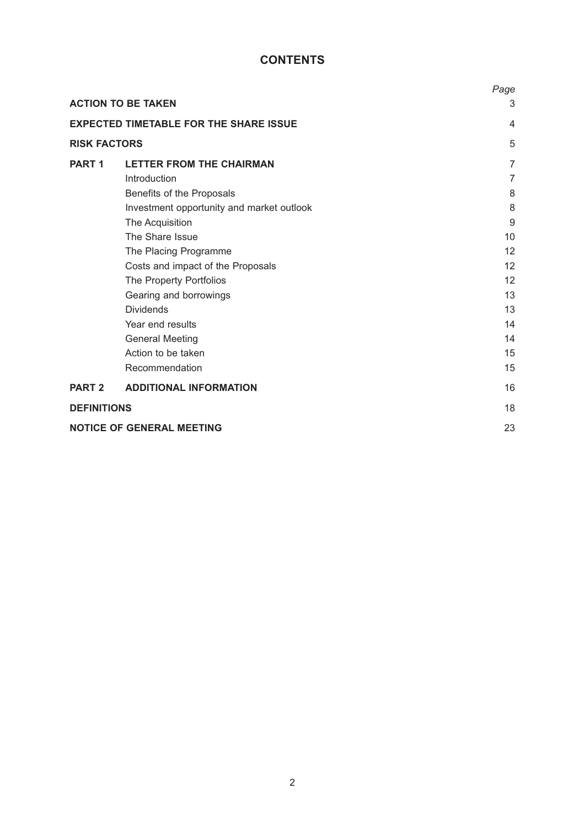## **CONTENTS**

|                     |                                               | Page           |
|---------------------|-----------------------------------------------|----------------|
|                     | <b>ACTION TO BE TAKEN</b>                     | 3              |
|                     | <b>EXPECTED TIMETABLE FOR THE SHARE ISSUE</b> | $\overline{4}$ |
| <b>RISK FACTORS</b> |                                               | 5              |
| PART <sub>1</sub>   | <b>LETTER FROM THE CHAIRMAN</b>               | $\overline{7}$ |
|                     | Introduction                                  | $\overline{7}$ |
|                     | Benefits of the Proposals                     | 8              |
|                     | Investment opportunity and market outlook     | 8              |
|                     | The Acquisition                               | 9              |
|                     | The Share Issue                               | 10             |
|                     | The Placing Programme                         | 12             |
|                     | Costs and impact of the Proposals             | 12             |
|                     | The Property Portfolios                       | 12             |
|                     | Gearing and borrowings                        | 13             |
|                     | <b>Dividends</b>                              | 13             |
|                     | Year end results                              | 14             |
|                     | <b>General Meeting</b>                        | 14             |
|                     | Action to be taken                            | 15             |
|                     | Recommendation                                | 15             |
| <b>PART 2</b>       | <b>ADDITIONAL INFORMATION</b>                 | 16             |
| <b>DEFINITIONS</b>  |                                               | 18             |
|                     | <b>NOTICE OF GENERAL MEETING</b>              | 23             |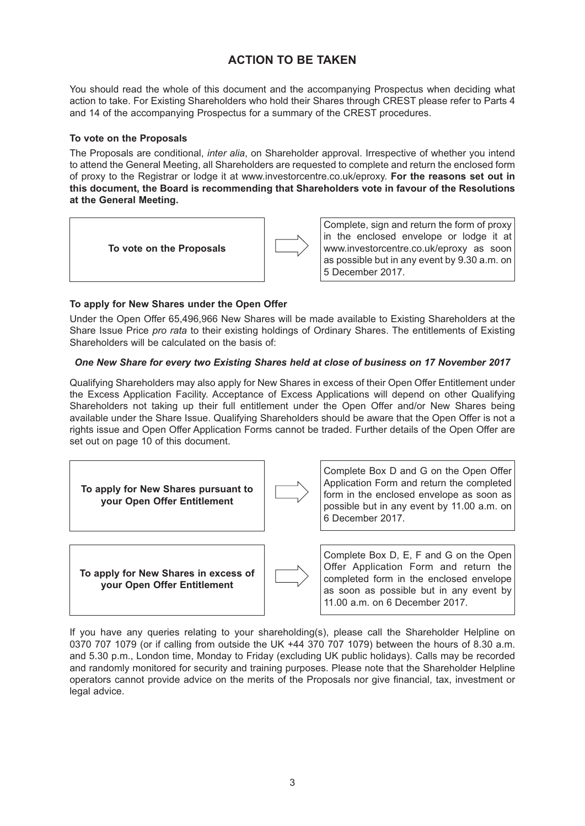## **ACTION TO BE TAKEN**

You should read the whole of this document and the accompanying Prospectus when deciding what action to take. For Existing Shareholders who hold their Shares through CREST please refer to Parts 4 and 14 of the accompanying Prospectus for a summary of the CREST procedures.

### **To vote on the Proposals**

The Proposals are conditional, *inter alia*, on Shareholder approval. Irrespective of whether you intend to attend the General Meeting, all Shareholders are requested to complete and return the enclosed form of proxy to the Registrar or lodge it at www.investorcentre.co.uk/eproxy. **For the reasons set out in this document, the Board is recommending that Shareholders vote in favour of the Resolutions at the General Meeting.**



Complete, sign and return the form of proxy in the enclosed envelope or lodge it at www.investorcentre.co.uk/eproxy as soon as possible but in any event by 9.30 a.m. on 5 December 2017.

## **To apply for New Shares under the Open Offer**

Under the Open Offer 65,496,966 New Shares will be made available to Existing Shareholders at the Share Issue Price *pro rata* to their existing holdings of Ordinary Shares. The entitlements of Existing Shareholders will be calculated on the basis of:

## *One New Share for every two Existing Shares held at close of business on 17 November 2017*

Qualifying Shareholders may also apply for New Shares in excess of their Open Offer Entitlement under the Excess Application Facility. Acceptance of Excess Applications will depend on other Qualifying Shareholders not taking up their full entitlement under the Open Offer and/or New Shares being available under the Share Issue. Qualifying Shareholders should be aware that the Open Offer is not a rights issue and Open Offer Application Forms cannot be traded. Further details of the Open Offer are set out on page 10 of this document.



If you have any queries relating to your shareholding(s), please call the Shareholder Helpline on 0370 707 1079 (or if calling from outside the UK +44 370 707 1079) between the hours of 8.30 a.m. and 5.30 p.m., London time, Monday to Friday (excluding UK public holidays). Calls may be recorded and randomly monitored for security and training purposes. Please note that the Shareholder Helpline operators cannot provide advice on the merits of the Proposals nor give financial, tax, investment or legal advice.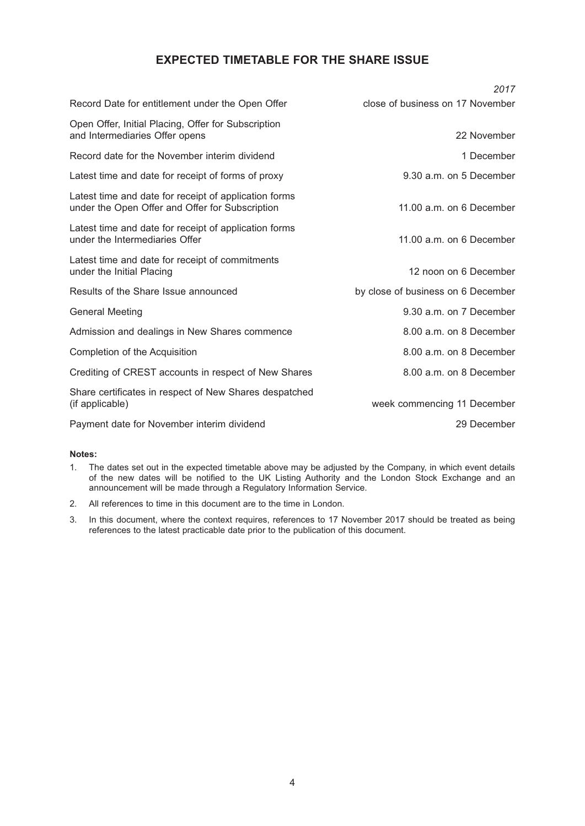## **EXPECTED TIMETABLE FOR THE SHARE ISSUE**

|                                                                                                          | 2017                               |
|----------------------------------------------------------------------------------------------------------|------------------------------------|
| Record Date for entitlement under the Open Offer                                                         | close of business on 17 November   |
| Open Offer, Initial Placing, Offer for Subscription<br>and Intermediaries Offer opens                    | 22 November                        |
| Record date for the November interim dividend                                                            | 1 December                         |
| Latest time and date for receipt of forms of proxy                                                       | 9.30 a.m. on 5 December            |
| Latest time and date for receipt of application forms<br>under the Open Offer and Offer for Subscription | 11.00 a.m. on 6 December           |
| Latest time and date for receipt of application forms<br>under the Intermediaries Offer                  | 11.00 a.m. on 6 December           |
| Latest time and date for receipt of commitments<br>under the Initial Placing                             | 12 noon on 6 December              |
| Results of the Share Issue announced                                                                     | by close of business on 6 December |
| <b>General Meeting</b>                                                                                   | 9.30 a.m. on 7 December            |
| Admission and dealings in New Shares commence                                                            | 8.00 a.m. on 8 December            |
| Completion of the Acquisition                                                                            | 8.00 a.m. on 8 December            |
| Crediting of CREST accounts in respect of New Shares                                                     | 8.00 a.m. on 8 December            |
| Share certificates in respect of New Shares despatched<br>(if applicable)                                | week commencing 11 December        |
| Payment date for November interim dividend                                                               | 29 December                        |
|                                                                                                          |                                    |

#### **Notes:**

- 1. The dates set out in the expected timetable above may be adjusted by the Company, in which event details of the new dates will be notified to the UK Listing Authority and the London Stock Exchange and an announcement will be made through a Regulatory Information Service.
- 2. All references to time in this document are to the time in London.
- 3. In this document, where the context requires, references to 17 November 2017 should be treated as being references to the latest practicable date prior to the publication of this document.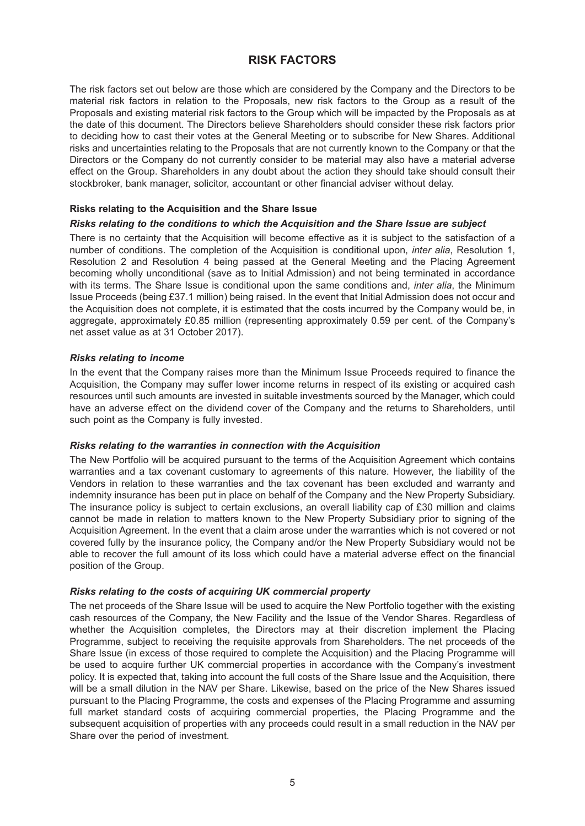## **RISK FACTORS**

The risk factors set out below are those which are considered by the Company and the Directors to be material risk factors in relation to the Proposals, new risk factors to the Group as a result of the Proposals and existing material risk factors to the Group which will be impacted by the Proposals as at the date of this document. The Directors believe Shareholders should consider these risk factors prior to deciding how to cast their votes at the General Meeting or to subscribe for New Shares. Additional risks and uncertainties relating to the Proposals that are not currently known to the Company or that the Directors or the Company do not currently consider to be material may also have a material adverse effect on the Group. Shareholders in any doubt about the action they should take should consult their stockbroker, bank manager, solicitor, accountant or other financial adviser without delay.

### **Risks relating to the Acquisition and the Share Issue**

#### *Risks relating to the conditions to which the Acquisition and the Share Issue are subject*

There is no certainty that the Acquisition will become effective as it is subject to the satisfaction of a number of conditions. The completion of the Acquisition is conditional upon, *inter alia*, Resolution 1, Resolution 2 and Resolution 4 being passed at the General Meeting and the Placing Agreement becoming wholly unconditional (save as to Initial Admission) and not being terminated in accordance with its terms. The Share Issue is conditional upon the same conditions and, *inter alia*, the Minimum Issue Proceeds (being £37.1 million) being raised. In the event that Initial Admission does not occur and the Acquisition does not complete, it is estimated that the costs incurred by the Company would be, in aggregate, approximately £0.85 million (representing approximately 0.59 per cent. of the Company's net asset value as at 31 October 2017).

#### *Risks relating to income*

In the event that the Company raises more than the Minimum Issue Proceeds required to finance the Acquisition, the Company may suffer lower income returns in respect of its existing or acquired cash resources until such amounts are invested in suitable investments sourced by the Manager, which could have an adverse effect on the dividend cover of the Company and the returns to Shareholders, until such point as the Company is fully invested.

#### *Risks relating to the warranties in connection with the Acquisition*

The New Portfolio will be acquired pursuant to the terms of the Acquisition Agreement which contains warranties and a tax covenant customary to agreements of this nature. However, the liability of the Vendors in relation to these warranties and the tax covenant has been excluded and warranty and indemnity insurance has been put in place on behalf of the Company and the New Property Subsidiary. The insurance policy is subject to certain exclusions, an overall liability cap of £30 million and claims cannot be made in relation to matters known to the New Property Subsidiary prior to signing of the Acquisition Agreement. In the event that a claim arose under the warranties which is not covered or not covered fully by the insurance policy, the Company and/or the New Property Subsidiary would not be able to recover the full amount of its loss which could have a material adverse effect on the financial position of the Group.

#### *Risks relating to the costs of acquiring UK commercial property*

The net proceeds of the Share Issue will be used to acquire the New Portfolio together with the existing cash resources of the Company, the New Facility and the Issue of the Vendor Shares. Regardless of whether the Acquisition completes, the Directors may at their discretion implement the Placing Programme, subject to receiving the requisite approvals from Shareholders. The net proceeds of the Share Issue (in excess of those required to complete the Acquisition) and the Placing Programme will be used to acquire further UK commercial properties in accordance with the Company's investment policy. It is expected that, taking into account the full costs of the Share Issue and the Acquisition, there will be a small dilution in the NAV per Share. Likewise, based on the price of the New Shares issued pursuant to the Placing Programme, the costs and expenses of the Placing Programme and assuming full market standard costs of acquiring commercial properties, the Placing Programme and the subsequent acquisition of properties with any proceeds could result in a small reduction in the NAV per Share over the period of investment.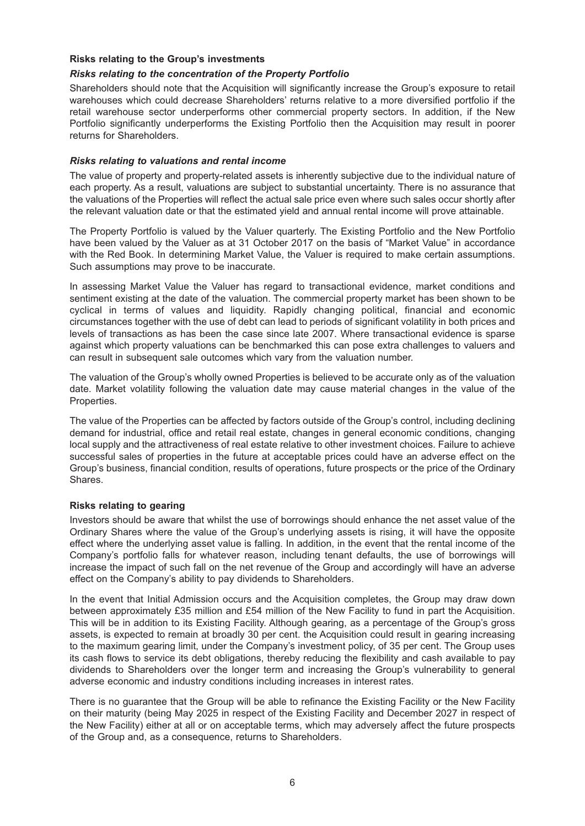### **Risks relating to the Group's investments**

### *Risks relating to the concentration of the Property Portfolio*

Shareholders should note that the Acquisition will significantly increase the Group's exposure to retail warehouses which could decrease Shareholders' returns relative to a more diversified portfolio if the retail warehouse sector underperforms other commercial property sectors. In addition, if the New Portfolio significantly underperforms the Existing Portfolio then the Acquisition may result in poorer returns for Shareholders.

#### *Risks relating to valuations and rental income*

The value of property and property-related assets is inherently subjective due to the individual nature of each property. As a result, valuations are subject to substantial uncertainty. There is no assurance that the valuations of the Properties will reflect the actual sale price even where such sales occur shortly after the relevant valuation date or that the estimated yield and annual rental income will prove attainable.

The Property Portfolio is valued by the Valuer quarterly. The Existing Portfolio and the New Portfolio have been valued by the Valuer as at 31 October 2017 on the basis of "Market Value" in accordance with the Red Book. In determining Market Value, the Valuer is required to make certain assumptions. Such assumptions may prove to be inaccurate.

In assessing Market Value the Valuer has regard to transactional evidence, market conditions and sentiment existing at the date of the valuation. The commercial property market has been shown to be cyclical in terms of values and liquidity. Rapidly changing political, financial and economic circumstances together with the use of debt can lead to periods of significant volatility in both prices and levels of transactions as has been the case since late 2007. Where transactional evidence is sparse against which property valuations can be benchmarked this can pose extra challenges to valuers and can result in subsequent sale outcomes which vary from the valuation number.

The valuation of the Group's wholly owned Properties is believed to be accurate only as of the valuation date. Market volatility following the valuation date may cause material changes in the value of the Properties.

The value of the Properties can be affected by factors outside of the Group's control, including declining demand for industrial, office and retail real estate, changes in general economic conditions, changing local supply and the attractiveness of real estate relative to other investment choices. Failure to achieve successful sales of properties in the future at acceptable prices could have an adverse effect on the Group's business, financial condition, results of operations, future prospects or the price of the Ordinary Shares.

## **Risks relating to gearing**

Investors should be aware that whilst the use of borrowings should enhance the net asset value of the Ordinary Shares where the value of the Group's underlying assets is rising, it will have the opposite effect where the underlying asset value is falling. In addition, in the event that the rental income of the Company's portfolio falls for whatever reason, including tenant defaults, the use of borrowings will increase the impact of such fall on the net revenue of the Group and accordingly will have an adverse effect on the Company's ability to pay dividends to Shareholders.

In the event that Initial Admission occurs and the Acquisition completes, the Group may draw down between approximately £35 million and £54 million of the New Facility to fund in part the Acquisition. This will be in addition to its Existing Facility. Although gearing, as a percentage of the Group's gross assets, is expected to remain at broadly 30 per cent. the Acquisition could result in gearing increasing to the maximum gearing limit, under the Company's investment policy, of 35 per cent. The Group uses its cash flows to service its debt obligations, thereby reducing the flexibility and cash available to pay dividends to Shareholders over the longer term and increasing the Group's vulnerability to general adverse economic and industry conditions including increases in interest rates.

There is no guarantee that the Group will be able to refinance the Existing Facility or the New Facility on their maturity (being May 2025 in respect of the Existing Facility and December 2027 in respect of the New Facility) either at all or on acceptable terms, which may adversely affect the future prospects of the Group and, as a consequence, returns to Shareholders.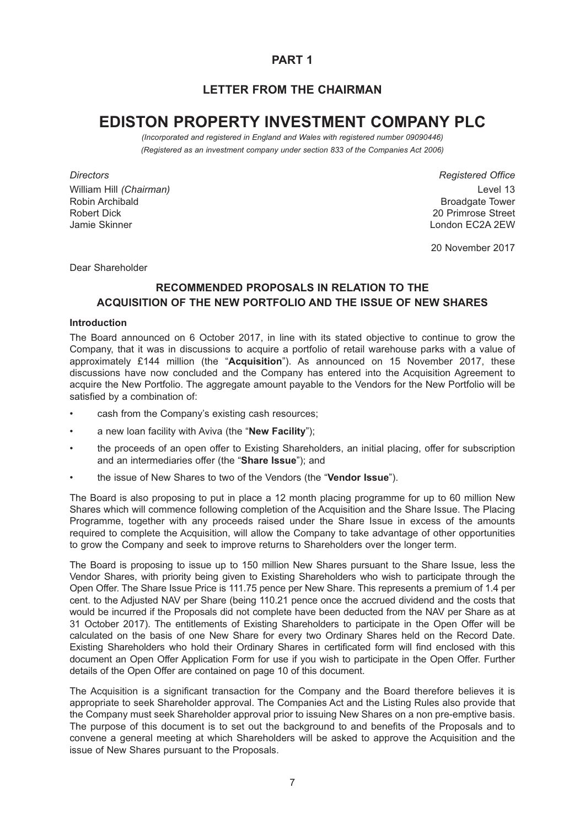## **PART 1**

## **LETTER FROM THE CHAIRMAN**

# **EDISTON PROPERTY INVESTMENT COMPANY PLC**

*(Incorporated and registered in England and Wales with registered number 09090446) (Registered as an investment company under section 833 of the Companies Act 2006)*

William Hill *(Chairman)* Level 13 Robin Archibald Broadgate Tower Control of the Control of the Broadgate Tower Control of the Broadgate Tower Robert Dick 20 Primrose Street Jamie Skinner London EC2A 2EW

*Directors Registered Office*

20 November 2017

Dear Shareholder

## **RECOMMENDED PROPOSALS IN RELATION TO THE ACQUISITION OF THE NEW PORTFOLIO AND THE ISSUE OF NEW SHARES**

#### **Introduction**

The Board announced on 6 October 2017, in line with its stated objective to continue to grow the Company, that it was in discussions to acquire a portfolio of retail warehouse parks with a value of approximately £144 million (the "**Acquisition**"). As announced on 15 November 2017, these discussions have now concluded and the Company has entered into the Acquisition Agreement to acquire the New Portfolio. The aggregate amount payable to the Vendors for the New Portfolio will be satisfied by a combination of:

- cash from the Company's existing cash resources;
- a new loan facility with Aviva (the "**New Facility**");
- the proceeds of an open offer to Existing Shareholders, an initial placing, offer for subscription and an intermediaries offer (the "**Share Issue**"); and
- the issue of New Shares to two of the Vendors (the "**Vendor Issue**").

The Board is also proposing to put in place a 12 month placing programme for up to 60 million New Shares which will commence following completion of the Acquisition and the Share Issue. The Placing Programme, together with any proceeds raised under the Share Issue in excess of the amounts required to complete the Acquisition, will allow the Company to take advantage of other opportunities to grow the Company and seek to improve returns to Shareholders over the longer term.

The Board is proposing to issue up to 150 million New Shares pursuant to the Share Issue, less the Vendor Shares, with priority being given to Existing Shareholders who wish to participate through the Open Offer. The Share Issue Price is 111.75 pence per New Share. This represents a premium of 1.4 per cent. to the Adjusted NAV per Share (being 110.21 pence once the accrued dividend and the costs that would be incurred if the Proposals did not complete have been deducted from the NAV per Share as at 31 October 2017). The entitlements of Existing Shareholders to participate in the Open Offer will be calculated on the basis of one New Share for every two Ordinary Shares held on the Record Date. Existing Shareholders who hold their Ordinary Shares in certificated form will find enclosed with this document an Open Offer Application Form for use if you wish to participate in the Open Offer. Further details of the Open Offer are contained on page 10 of this document.

The Acquisition is a significant transaction for the Company and the Board therefore believes it is appropriate to seek Shareholder approval. The Companies Act and the Listing Rules also provide that the Company must seek Shareholder approval prior to issuing New Shares on a non pre-emptive basis. The purpose of this document is to set out the background to and benefits of the Proposals and to convene a general meeting at which Shareholders will be asked to approve the Acquisition and the issue of New Shares pursuant to the Proposals.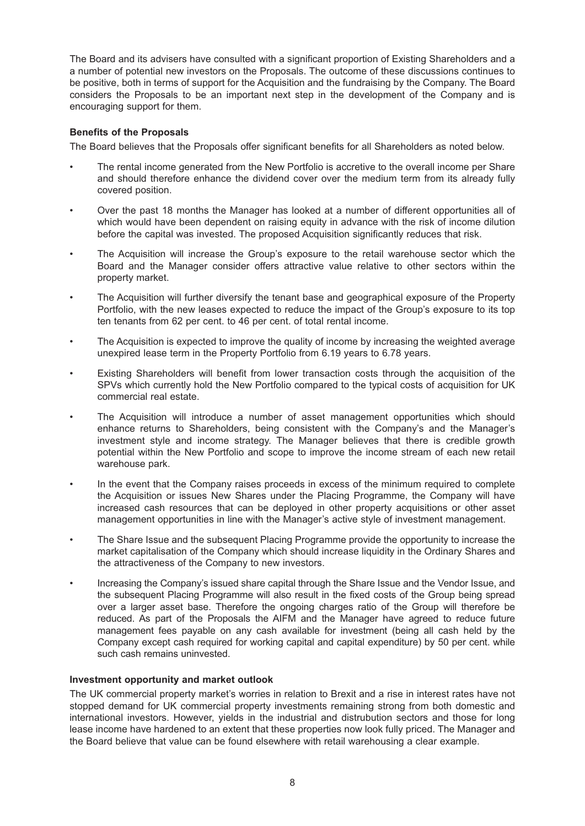The Board and its advisers have consulted with a significant proportion of Existing Shareholders and a a number of potential new investors on the Proposals. The outcome of these discussions continues to be positive, both in terms of support for the Acquisition and the fundraising by the Company. The Board considers the Proposals to be an important next step in the development of the Company and is encouraging support for them.

## **Benefits of the Proposals**

The Board believes that the Proposals offer significant benefits for all Shareholders as noted below.

- The rental income generated from the New Portfolio is accretive to the overall income per Share and should therefore enhance the dividend cover over the medium term from its already fully covered position.
- Over the past 18 months the Manager has looked at a number of different opportunities all of which would have been dependent on raising equity in advance with the risk of income dilution before the capital was invested. The proposed Acquisition significantly reduces that risk.
- The Acquisition will increase the Group's exposure to the retail warehouse sector which the Board and the Manager consider offers attractive value relative to other sectors within the property market.
- The Acquisition will further diversify the tenant base and geographical exposure of the Property Portfolio, with the new leases expected to reduce the impact of the Group's exposure to its top ten tenants from 62 per cent. to 46 per cent. of total rental income.
- The Acquisition is expected to improve the quality of income by increasing the weighted average unexpired lease term in the Property Portfolio from 6.19 years to 6.78 years.
- Existing Shareholders will benefit from lower transaction costs through the acquisition of the SPVs which currently hold the New Portfolio compared to the typical costs of acquisition for UK commercial real estate.
- The Acquisition will introduce a number of asset management opportunities which should enhance returns to Shareholders, being consistent with the Company's and the Manager's investment style and income strategy. The Manager believes that there is credible growth potential within the New Portfolio and scope to improve the income stream of each new retail warehouse park.
- In the event that the Company raises proceeds in excess of the minimum required to complete the Acquisition or issues New Shares under the Placing Programme, the Company will have increased cash resources that can be deployed in other property acquisitions or other asset management opportunities in line with the Manager's active style of investment management.
- The Share Issue and the subsequent Placing Programme provide the opportunity to increase the market capitalisation of the Company which should increase liquidity in the Ordinary Shares and the attractiveness of the Company to new investors.
- Increasing the Company's issued share capital through the Share Issue and the Vendor Issue, and the subsequent Placing Programme will also result in the fixed costs of the Group being spread over a larger asset base. Therefore the ongoing charges ratio of the Group will therefore be reduced. As part of the Proposals the AIFM and the Manager have agreed to reduce future management fees payable on any cash available for investment (being all cash held by the Company except cash required for working capital and capital expenditure) by 50 per cent. while such cash remains uninvested.

## **Investment opportunity and market outlook**

The UK commercial property market's worries in relation to Brexit and a rise in interest rates have not stopped demand for UK commercial property investments remaining strong from both domestic and international investors. However, yields in the industrial and distrubution sectors and those for long lease income have hardened to an extent that these properties now look fully priced. The Manager and the Board believe that value can be found elsewhere with retail warehousing a clear example.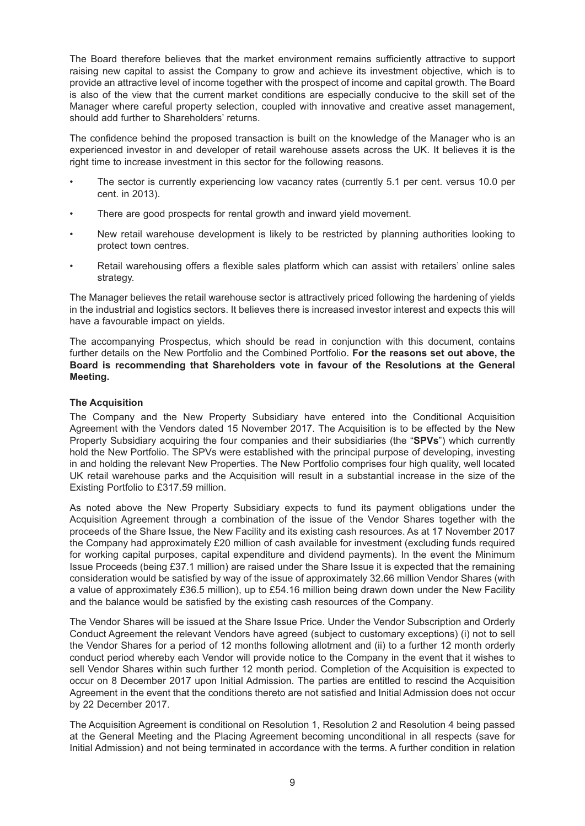The Board therefore believes that the market environment remains sufficiently attractive to support raising new capital to assist the Company to grow and achieve its investment objective, which is to provide an attractive level of income together with the prospect of income and capital growth. The Board is also of the view that the current market conditions are especially conducive to the skill set of the Manager where careful property selection, coupled with innovative and creative asset management, should add further to Shareholders' returns.

The confidence behind the proposed transaction is built on the knowledge of the Manager who is an experienced investor in and developer of retail warehouse assets across the UK. It believes it is the right time to increase investment in this sector for the following reasons.

- The sector is currently experiencing low vacancy rates (currently 5.1 per cent. versus 10.0 per cent. in 2013).
- There are good prospects for rental growth and inward vield movement.
- New retail warehouse development is likely to be restricted by planning authorities looking to protect town centres.
- Retail warehousing offers a flexible sales platform which can assist with retailers' online sales strategy.

The Manager believes the retail warehouse sector is attractively priced following the hardening of yields in the industrial and logistics sectors. It believes there is increased investor interest and expects this will have a favourable impact on yields.

The accompanying Prospectus, which should be read in conjunction with this document, contains further details on the New Portfolio and the Combined Portfolio. **For the reasons set out above, the Board is recommending that Shareholders vote in favour of the Resolutions at the General Meeting.**

## **The Acquisition**

The Company and the New Property Subsidiary have entered into the Conditional Acquisition Agreement with the Vendors dated 15 November 2017. The Acquisition is to be effected by the New Property Subsidiary acquiring the four companies and their subsidiaries (the "**SPVs**") which currently hold the New Portfolio. The SPVs were established with the principal purpose of developing, investing in and holding the relevant New Properties. The New Portfolio comprises four high quality, well located UK retail warehouse parks and the Acquisition will result in a substantial increase in the size of the Existing Portfolio to £317.59 million.

As noted above the New Property Subsidiary expects to fund its payment obligations under the Acquisition Agreement through a combination of the issue of the Vendor Shares together with the proceeds of the Share Issue, the New Facility and its existing cash resources. As at 17 November 2017 the Company had approximately £20 million of cash available for investment (excluding funds required for working capital purposes, capital expenditure and dividend payments). In the event the Minimum Issue Proceeds (being £37.1 million) are raised under the Share Issue it is expected that the remaining consideration would be satisfied by way of the issue of approximately 32.66 million Vendor Shares (with a value of approximately £36.5 million), up to £54.16 million being drawn down under the New Facility and the balance would be satisfied by the existing cash resources of the Company.

The Vendor Shares will be issued at the Share Issue Price. Under the Vendor Subscription and Orderly Conduct Agreement the relevant Vendors have agreed (subject to customary exceptions) (i) not to sell the Vendor Shares for a period of 12 months following allotment and (ii) to a further 12 month orderly conduct period whereby each Vendor will provide notice to the Company in the event that it wishes to sell Vendor Shares within such further 12 month period. Completion of the Acquisition is expected to occur on 8 December 2017 upon Initial Admission. The parties are entitled to rescind the Acquisition Agreement in the event that the conditions thereto are not satisfied and Initial Admission does not occur by 22 December 2017.

The Acquisition Agreement is conditional on Resolution 1, Resolution 2 and Resolution 4 being passed at the General Meeting and the Placing Agreement becoming unconditional in all respects (save for Initial Admission) and not being terminated in accordance with the terms. A further condition in relation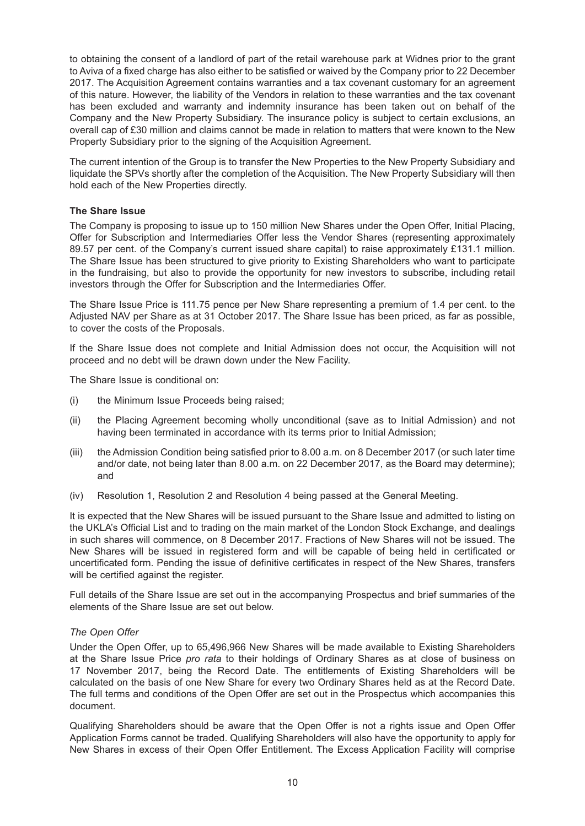to obtaining the consent of a landlord of part of the retail warehouse park at Widnes prior to the grant to Aviva of a fixed charge has also either to be satisfied or waived by the Company prior to 22 December 2017. The Acquisition Agreement contains warranties and a tax covenant customary for an agreement of this nature. However, the liability of the Vendors in relation to these warranties and the tax covenant has been excluded and warranty and indemnity insurance has been taken out on behalf of the Company and the New Property Subsidiary. The insurance policy is subject to certain exclusions, an overall cap of £30 million and claims cannot be made in relation to matters that were known to the New Property Subsidiary prior to the signing of the Acquisition Agreement.

The current intention of the Group is to transfer the New Properties to the New Property Subsidiary and liquidate the SPVs shortly after the completion of the Acquisition. The New Property Subsidiary will then hold each of the New Properties directly.

### **The Share Issue**

The Company is proposing to issue up to 150 million New Shares under the Open Offer, Initial Placing, Offer for Subscription and Intermediaries Offer less the Vendor Shares (representing approximately 89.57 per cent. of the Company's current issued share capital) to raise approximately £131.1 million. The Share Issue has been structured to give priority to Existing Shareholders who want to participate in the fundraising, but also to provide the opportunity for new investors to subscribe, including retail investors through the Offer for Subscription and the Intermediaries Offer.

The Share Issue Price is 111.75 pence per New Share representing a premium of 1.4 per cent. to the Adjusted NAV per Share as at 31 October 2017. The Share Issue has been priced, as far as possible, to cover the costs of the Proposals.

If the Share Issue does not complete and Initial Admission does not occur, the Acquisition will not proceed and no debt will be drawn down under the New Facility.

The Share Issue is conditional on:

- (i) the Minimum Issue Proceeds being raised;
- (ii) the Placing Agreement becoming wholly unconditional (save as to Initial Admission) and not having been terminated in accordance with its terms prior to Initial Admission;
- (iii) the Admission Condition being satisfied prior to 8.00 a.m. on 8 December 2017 (or such later time and/or date, not being later than 8.00 a.m. on 22 December 2017, as the Board may determine); and
- (iv) Resolution 1, Resolution 2 and Resolution 4 being passed at the General Meeting.

It is expected that the New Shares will be issued pursuant to the Share Issue and admitted to listing on the UKLA's Official List and to trading on the main market of the London Stock Exchange, and dealings in such shares will commence, on 8 December 2017. Fractions of New Shares will not be issued. The New Shares will be issued in registered form and will be capable of being held in certificated or uncertificated form. Pending the issue of definitive certificates in respect of the New Shares, transfers will be certified against the register.

Full details of the Share Issue are set out in the accompanying Prospectus and brief summaries of the elements of the Share Issue are set out below.

## *The Open Offer*

Under the Open Offer, up to 65,496,966 New Shares will be made available to Existing Shareholders at the Share Issue Price *pro rata* to their holdings of Ordinary Shares as at close of business on 17 November 2017, being the Record Date. The entitlements of Existing Shareholders will be calculated on the basis of one New Share for every two Ordinary Shares held as at the Record Date. The full terms and conditions of the Open Offer are set out in the Prospectus which accompanies this document.

Qualifying Shareholders should be aware that the Open Offer is not a rights issue and Open Offer Application Forms cannot be traded. Qualifying Shareholders will also have the opportunity to apply for New Shares in excess of their Open Offer Entitlement. The Excess Application Facility will comprise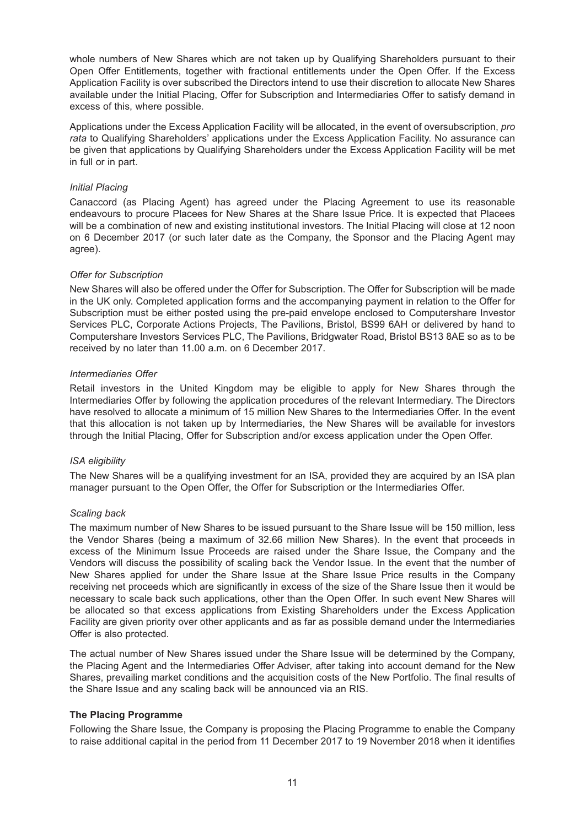whole numbers of New Shares which are not taken up by Qualifying Shareholders pursuant to their Open Offer Entitlements, together with fractional entitlements under the Open Offer. If the Excess Application Facility is over subscribed the Directors intend to use their discretion to allocate New Shares available under the Initial Placing, Offer for Subscription and Intermediaries Offer to satisfy demand in excess of this, where possible.

Applications under the Excess Application Facility will be allocated, in the event of oversubscription, *pro rata* to Qualifying Shareholders' applications under the Excess Application Facility. No assurance can be given that applications by Qualifying Shareholders under the Excess Application Facility will be met in full or in part.

## *Initial Placing*

Canaccord (as Placing Agent) has agreed under the Placing Agreement to use its reasonable endeavours to procure Placees for New Shares at the Share Issue Price. It is expected that Placees will be a combination of new and existing institutional investors. The Initial Placing will close at 12 noon on 6 December 2017 (or such later date as the Company, the Sponsor and the Placing Agent may agree).

## *Offer for Subscription*

New Shares will also be offered under the Offer for Subscription. The Offer for Subscription will be made in the UK only. Completed application forms and the accompanying payment in relation to the Offer for Subscription must be either posted using the pre-paid envelope enclosed to Computershare Investor Services PLC, Corporate Actions Projects, The Pavilions, Bristol, BS99 6AH or delivered by hand to Computershare Investors Services PLC, The Pavilions, Bridgwater Road, Bristol BS13 8AE so as to be received by no later than 11.00 a.m. on 6 December 2017.

## *Intermediaries Offer*

Retail investors in the United Kingdom may be eligible to apply for New Shares through the Intermediaries Offer by following the application procedures of the relevant Intermediary. The Directors have resolved to allocate a minimum of 15 million New Shares to the Intermediaries Offer. In the event that this allocation is not taken up by Intermediaries, the New Shares will be available for investors through the Initial Placing, Offer for Subscription and/or excess application under the Open Offer.

## *ISA eligibility*

The New Shares will be a qualifying investment for an ISA, provided they are acquired by an ISA plan manager pursuant to the Open Offer, the Offer for Subscription or the Intermediaries Offer.

## *Scaling back*

The maximum number of New Shares to be issued pursuant to the Share Issue will be 150 million, less the Vendor Shares (being a maximum of 32.66 million New Shares). In the event that proceeds in excess of the Minimum Issue Proceeds are raised under the Share Issue, the Company and the Vendors will discuss the possibility of scaling back the Vendor Issue. In the event that the number of New Shares applied for under the Share Issue at the Share Issue Price results in the Company receiving net proceeds which are significantly in excess of the size of the Share Issue then it would be necessary to scale back such applications, other than the Open Offer. In such event New Shares will be allocated so that excess applications from Existing Shareholders under the Excess Application Facility are given priority over other applicants and as far as possible demand under the Intermediaries Offer is also protected.

The actual number of New Shares issued under the Share Issue will be determined by the Company, the Placing Agent and the Intermediaries Offer Adviser, after taking into account demand for the New Shares, prevailing market conditions and the acquisition costs of the New Portfolio. The final results of the Share Issue and any scaling back will be announced via an RIS.

## **The Placing Programme**

Following the Share Issue, the Company is proposing the Placing Programme to enable the Company to raise additional capital in the period from 11 December 2017 to 19 November 2018 when it identifies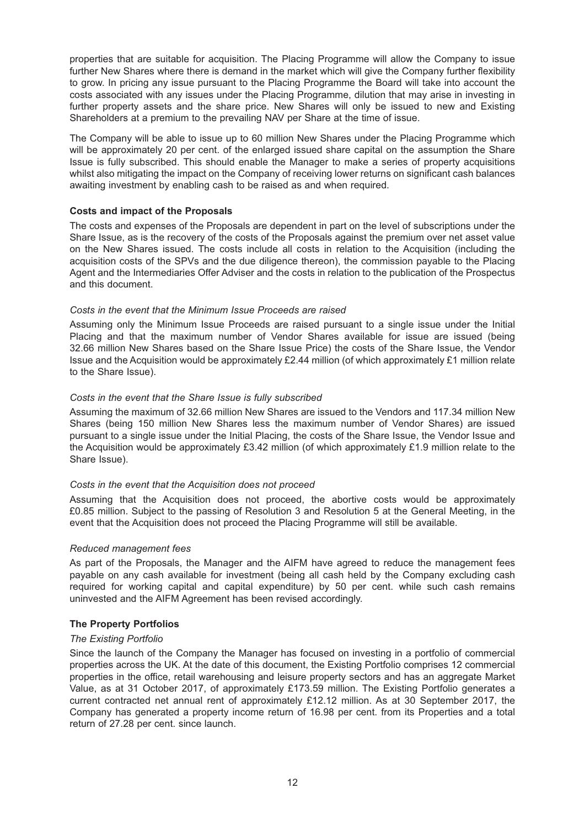properties that are suitable for acquisition. The Placing Programme will allow the Company to issue further New Shares where there is demand in the market which will give the Company further flexibility to grow. In pricing any issue pursuant to the Placing Programme the Board will take into account the costs associated with any issues under the Placing Programme, dilution that may arise in investing in further property assets and the share price. New Shares will only be issued to new and Existing Shareholders at a premium to the prevailing NAV per Share at the time of issue.

The Company will be able to issue up to 60 million New Shares under the Placing Programme which will be approximately 20 per cent. of the enlarged issued share capital on the assumption the Share Issue is fully subscribed. This should enable the Manager to make a series of property acquisitions whilst also mitigating the impact on the Company of receiving lower returns on significant cash balances awaiting investment by enabling cash to be raised as and when required.

### **Costs and impact of the Proposals**

The costs and expenses of the Proposals are dependent in part on the level of subscriptions under the Share Issue, as is the recovery of the costs of the Proposals against the premium over net asset value on the New Shares issued. The costs include all costs in relation to the Acquisition (including the acquisition costs of the SPVs and the due diligence thereon), the commission payable to the Placing Agent and the Intermediaries Offer Adviser and the costs in relation to the publication of the Prospectus and this document.

#### *Costs in the event that the Minimum Issue Proceeds are raised*

Assuming only the Minimum Issue Proceeds are raised pursuant to a single issue under the Initial Placing and that the maximum number of Vendor Shares available for issue are issued (being 32.66 million New Shares based on the Share Issue Price) the costs of the Share Issue, the Vendor Issue and the Acquisition would be approximately £2.44 million (of which approximately £1 million relate to the Share Issue).

#### *Costs in the event that the Share Issue is fully subscribed*

Assuming the maximum of 32.66 million New Shares are issued to the Vendors and 117.34 million New Shares (being 150 million New Shares less the maximum number of Vendor Shares) are issued pursuant to a single issue under the Initial Placing, the costs of the Share Issue, the Vendor Issue and the Acquisition would be approximately £3.42 million (of which approximately £1.9 million relate to the Share Issue).

#### *Costs in the event that the Acquisition does not proceed*

Assuming that the Acquisition does not proceed, the abortive costs would be approximately £0.85 million. Subject to the passing of Resolution 3 and Resolution 5 at the General Meeting, in the event that the Acquisition does not proceed the Placing Programme will still be available.

#### *Reduced management fees*

As part of the Proposals, the Manager and the AIFM have agreed to reduce the management fees payable on any cash available for investment (being all cash held by the Company excluding cash required for working capital and capital expenditure) by 50 per cent. while such cash remains uninvested and the AIFM Agreement has been revised accordingly.

#### **The Property Portfolios**

#### *The Existing Portfolio*

Since the launch of the Company the Manager has focused on investing in a portfolio of commercial properties across the UK. At the date of this document, the Existing Portfolio comprises 12 commercial properties in the office, retail warehousing and leisure property sectors and has an aggregate Market Value, as at 31 October 2017, of approximately £173.59 million. The Existing Portfolio generates a current contracted net annual rent of approximately £12.12 million. As at 30 September 2017, the Company has generated a property income return of 16.98 per cent. from its Properties and a total return of 27.28 per cent. since launch.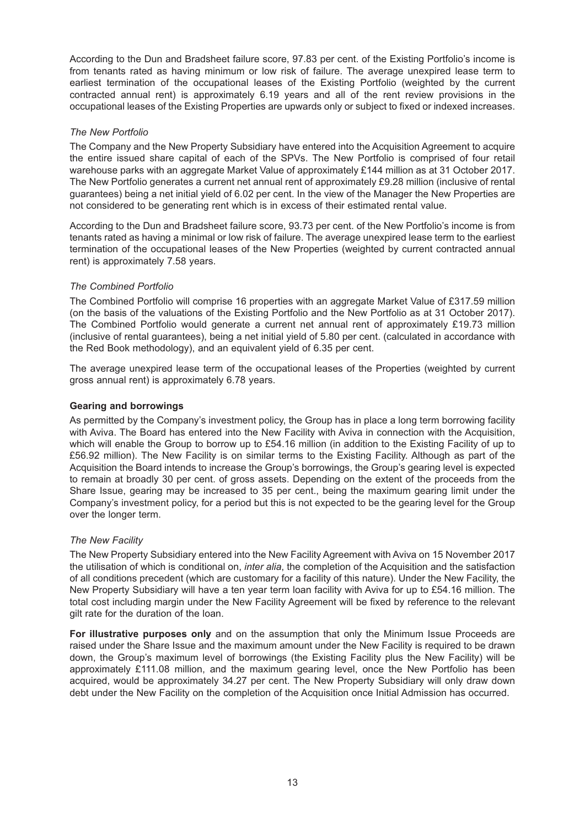According to the Dun and Bradsheet failure score, 97.83 per cent. of the Existing Portfolio's income is from tenants rated as having minimum or low risk of failure. The average unexpired lease term to earliest termination of the occupational leases of the Existing Portfolio (weighted by the current contracted annual rent) is approximately 6.19 years and all of the rent review provisions in the occupational leases of the Existing Properties are upwards only or subject to fixed or indexed increases.

## *The New Portfolio*

The Company and the New Property Subsidiary have entered into the Acquisition Agreement to acquire the entire issued share capital of each of the SPVs. The New Portfolio is comprised of four retail warehouse parks with an aggregate Market Value of approximately £144 million as at 31 October 2017. The New Portfolio generates a current net annual rent of approximately £9.28 million (inclusive of rental guarantees) being a net initial yield of 6.02 per cent. In the view of the Manager the New Properties are not considered to be generating rent which is in excess of their estimated rental value.

According to the Dun and Bradsheet failure score, 93.73 per cent. of the New Portfolio's income is from tenants rated as having a minimal or low risk of failure. The average unexpired lease term to the earliest termination of the occupational leases of the New Properties (weighted by current contracted annual rent) is approximately 7.58 years.

## *The Combined Portfolio*

The Combined Portfolio will comprise 16 properties with an aggregate Market Value of £317.59 million (on the basis of the valuations of the Existing Portfolio and the New Portfolio as at 31 October 2017). The Combined Portfolio would generate a current net annual rent of approximately £19.73 million (inclusive of rental guarantees), being a net initial yield of 5.80 per cent. (calculated in accordance with the Red Book methodology), and an equivalent yield of 6.35 per cent.

The average unexpired lease term of the occupational leases of the Properties (weighted by current gross annual rent) is approximately 6.78 years.

## **Gearing and borrowings**

As permitted by the Company's investment policy, the Group has in place a long term borrowing facility with Aviva. The Board has entered into the New Facility with Aviva in connection with the Acquisition, which will enable the Group to borrow up to £54.16 million (in addition to the Existing Facility of up to £56.92 million). The New Facility is on similar terms to the Existing Facility. Although as part of the Acquisition the Board intends to increase the Group's borrowings, the Group's gearing level is expected to remain at broadly 30 per cent. of gross assets. Depending on the extent of the proceeds from the Share Issue, gearing may be increased to 35 per cent., being the maximum gearing limit under the Company's investment policy, for a period but this is not expected to be the gearing level for the Group over the longer term.

## *The New Facility*

The New Property Subsidiary entered into the New Facility Agreement with Aviva on 15 November 2017 the utilisation of which is conditional on, *inter alia*, the completion of the Acquisition and the satisfaction of all conditions precedent (which are customary for a facility of this nature). Under the New Facility, the New Property Subsidiary will have a ten year term loan facility with Aviva for up to £54.16 million. The total cost including margin under the New Facility Agreement will be fixed by reference to the relevant gilt rate for the duration of the loan.

**For illustrative purposes only** and on the assumption that only the Minimum Issue Proceeds are raised under the Share Issue and the maximum amount under the New Facility is required to be drawn down, the Group's maximum level of borrowings (the Existing Facility plus the New Facility) will be approximately £111.08 million, and the maximum gearing level, once the New Portfolio has been acquired, would be approximately 34.27 per cent. The New Property Subsidiary will only draw down debt under the New Facility on the completion of the Acquisition once Initial Admission has occurred.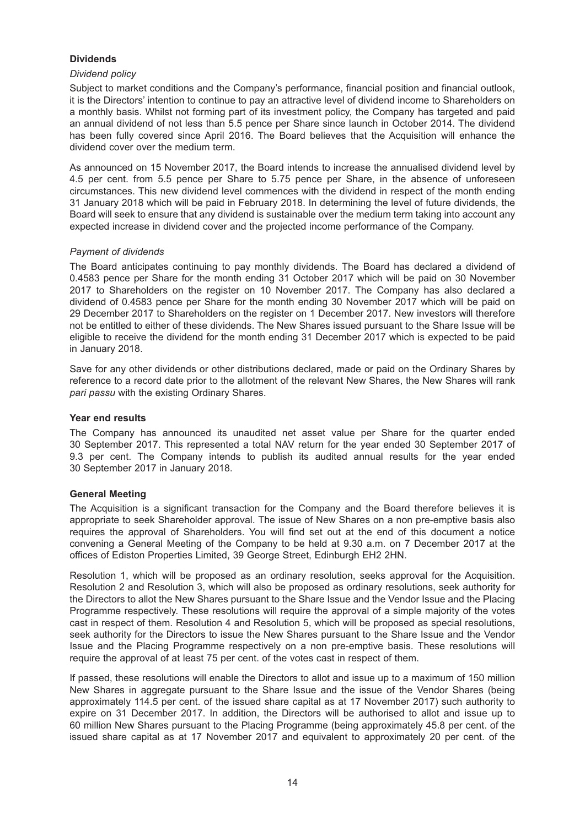## **Dividends**

### *Dividend policy*

Subject to market conditions and the Company's performance, financial position and financial outlook, it is the Directors' intention to continue to pay an attractive level of dividend income to Shareholders on a monthly basis. Whilst not forming part of its investment policy, the Company has targeted and paid an annual dividend of not less than 5.5 pence per Share since launch in October 2014. The dividend has been fully covered since April 2016. The Board believes that the Acquisition will enhance the dividend cover over the medium term.

As announced on 15 November 2017, the Board intends to increase the annualised dividend level by 4.5 per cent. from 5.5 pence per Share to 5.75 pence per Share, in the absence of unforeseen circumstances. This new dividend level commences with the dividend in respect of the month ending 31 January 2018 which will be paid in February 2018. In determining the level of future dividends, the Board will seek to ensure that any dividend is sustainable over the medium term taking into account any expected increase in dividend cover and the projected income performance of the Company.

#### *Payment of dividends*

The Board anticipates continuing to pay monthly dividends. The Board has declared a dividend of 0.4583 pence per Share for the month ending 31 October 2017 which will be paid on 30 November 2017 to Shareholders on the register on 10 November 2017. The Company has also declared a dividend of 0.4583 pence per Share for the month ending 30 November 2017 which will be paid on 29 December 2017 to Shareholders on the register on 1 December 2017. New investors will therefore not be entitled to either of these dividends. The New Shares issued pursuant to the Share Issue will be eligible to receive the dividend for the month ending 31 December 2017 which is expected to be paid in January 2018.

Save for any other dividends or other distributions declared, made or paid on the Ordinary Shares by reference to a record date prior to the allotment of the relevant New Shares, the New Shares will rank *pari passu* with the existing Ordinary Shares.

### **Year end results**

The Company has announced its unaudited net asset value per Share for the quarter ended 30 September 2017. This represented a total NAV return for the year ended 30 September 2017 of 9.3 per cent. The Company intends to publish its audited annual results for the year ended 30 September 2017 in January 2018.

## **General Meeting**

The Acquisition is a significant transaction for the Company and the Board therefore believes it is appropriate to seek Shareholder approval. The issue of New Shares on a non pre-emptive basis also requires the approval of Shareholders. You will find set out at the end of this document a notice convening a General Meeting of the Company to be held at 9.30 a.m. on 7 December 2017 at the offices of Ediston Properties Limited, 39 George Street, Edinburgh EH2 2HN.

Resolution 1, which will be proposed as an ordinary resolution, seeks approval for the Acquisition. Resolution 2 and Resolution 3, which will also be proposed as ordinary resolutions, seek authority for the Directors to allot the New Shares pursuant to the Share Issue and the Vendor Issue and the Placing Programme respectively. These resolutions will require the approval of a simple majority of the votes cast in respect of them. Resolution 4 and Resolution 5, which will be proposed as special resolutions, seek authority for the Directors to issue the New Shares pursuant to the Share Issue and the Vendor Issue and the Placing Programme respectively on a non pre-emptive basis. These resolutions will require the approval of at least 75 per cent. of the votes cast in respect of them.

If passed, these resolutions will enable the Directors to allot and issue up to a maximum of 150 million New Shares in aggregate pursuant to the Share Issue and the issue of the Vendor Shares (being approximately 114.5 per cent. of the issued share capital as at 17 November 2017) such authority to expire on 31 December 2017. In addition, the Directors will be authorised to allot and issue up to 60 million New Shares pursuant to the Placing Programme (being approximately 45.8 per cent. of the issued share capital as at 17 November 2017 and equivalent to approximately 20 per cent. of the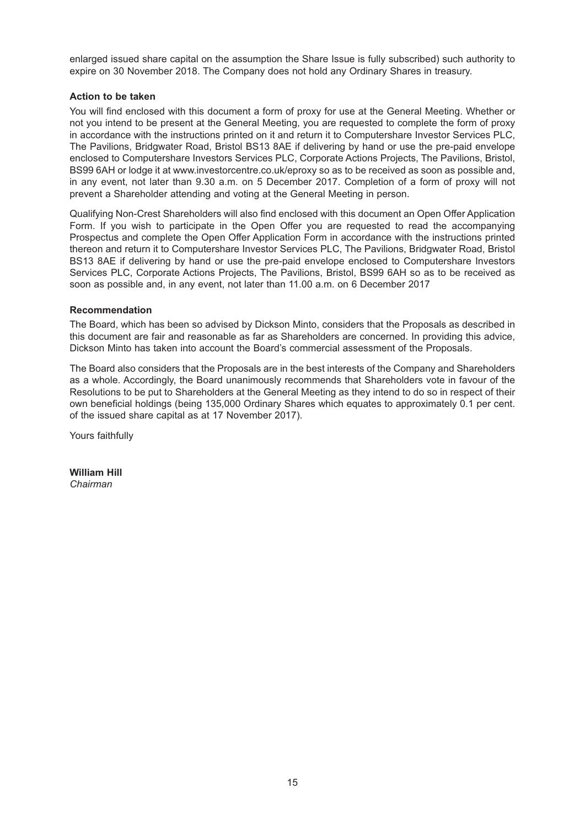enlarged issued share capital on the assumption the Share Issue is fully subscribed) such authority to expire on 30 November 2018. The Company does not hold any Ordinary Shares in treasury.

## **Action to be taken**

You will find enclosed with this document a form of proxy for use at the General Meeting. Whether or not you intend to be present at the General Meeting, you are requested to complete the form of proxy in accordance with the instructions printed on it and return it to Computershare Investor Services PLC, The Pavilions, Bridgwater Road, Bristol BS13 8AE if delivering by hand or use the pre-paid envelope enclosed to Computershare Investors Services PLC, Corporate Actions Projects, The Pavilions, Bristol, BS99 6AH or lodge it at www.investorcentre.co.uk/eproxy so as to be received as soon as possible and, in any event, not later than 9.30 a.m. on 5 December 2017. Completion of a form of proxy will not prevent a Shareholder attending and voting at the General Meeting in person.

Qualifying Non-Crest Shareholders will also find enclosed with this document an Open Offer Application Form. If you wish to participate in the Open Offer you are requested to read the accompanying Prospectus and complete the Open Offer Application Form in accordance with the instructions printed thereon and return it to Computershare Investor Services PLC, The Pavilions, Bridgwater Road, Bristol BS13 8AE if delivering by hand or use the pre-paid envelope enclosed to Computershare Investors Services PLC, Corporate Actions Projects, The Pavilions, Bristol, BS99 6AH so as to be received as soon as possible and, in any event, not later than 11.00 a.m. on 6 December 2017

## **Recommendation**

The Board, which has been so advised by Dickson Minto, considers that the Proposals as described in this document are fair and reasonable as far as Shareholders are concerned. In providing this advice, Dickson Minto has taken into account the Board's commercial assessment of the Proposals.

The Board also considers that the Proposals are in the best interests of the Company and Shareholders as a whole. Accordingly, the Board unanimously recommends that Shareholders vote in favour of the Resolutions to be put to Shareholders at the General Meeting as they intend to do so in respect of their own beneficial holdings (being 135,000 Ordinary Shares which equates to approximately 0.1 per cent. of the issued share capital as at 17 November 2017).

Yours faithfully

**William Hill** *Chairman*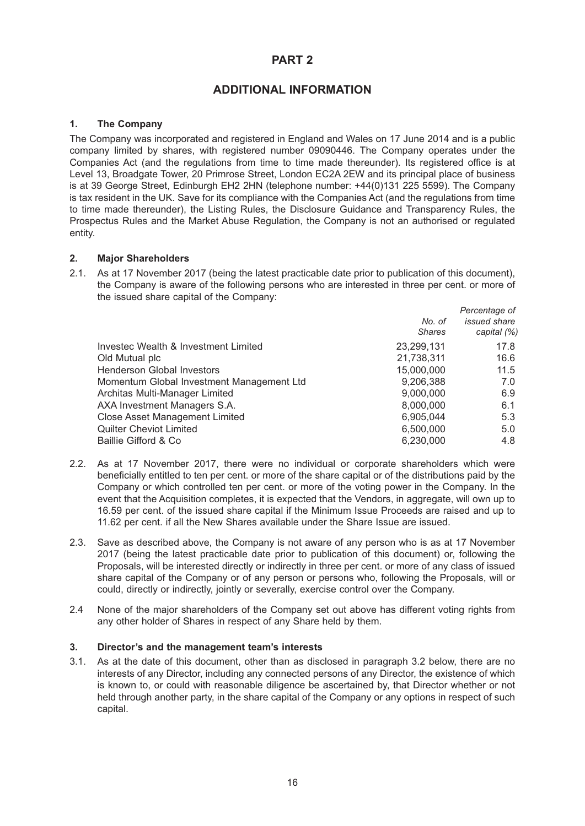## **PART 2**

## **ADDITIONAL INFORMATION**

## **1. The Company**

The Company was incorporated and registered in England and Wales on 17 June 2014 and is a public company limited by shares, with registered number 09090446. The Company operates under the Companies Act (and the regulations from time to time made thereunder). Its registered office is at Level 13, Broadgate Tower, 20 Primrose Street, London EC2A 2EW and its principal place of business is at 39 George Street, Edinburgh EH2 2HN (telephone number: +44(0)131 225 5599). The Company is tax resident in the UK. Save for its compliance with the Companies Act (and the regulations from time to time made thereunder), the Listing Rules, the Disclosure Guidance and Transparency Rules, the Prospectus Rules and the Market Abuse Regulation, the Company is not an authorised or regulated entity.

#### **2. Major Shareholders**

2.1. As at 17 November 2017 (being the latest practicable date prior to publication of this document), the Company is aware of the following persons who are interested in three per cent. or more of the issued share capital of the Company:

|                                           |               | Percentage of       |
|-------------------------------------------|---------------|---------------------|
|                                           | No. of        | <i>issued</i> share |
|                                           | <b>Shares</b> | capital (%)         |
| Investec Wealth & Investment Limited      | 23,299,131    | 17.8                |
| Old Mutual plc                            | 21,738,311    | 16.6                |
| <b>Henderson Global Investors</b>         | 15,000,000    | 11.5                |
| Momentum Global Investment Management Ltd | 9,206,388     | 7.0                 |
| Architas Multi-Manager Limited            | 9,000,000     | 6.9                 |
| AXA Investment Managers S.A.              | 8,000,000     | 6.1                 |
| <b>Close Asset Management Limited</b>     | 6,905,044     | 5.3                 |
| <b>Quilter Cheviot Limited</b>            | 6,500,000     | 5.0                 |
| Baillie Gifford & Co                      | 6,230,000     | 4.8                 |
|                                           |               |                     |

- 2.2. As at 17 November 2017, there were no individual or corporate shareholders which were beneficially entitled to ten per cent. or more of the share capital or of the distributions paid by the Company or which controlled ten per cent. or more of the voting power in the Company. In the event that the Acquisition completes, it is expected that the Vendors, in aggregate, will own up to 16.59 per cent. of the issued share capital if the Minimum Issue Proceeds are raised and up to 11.62 per cent. if all the New Shares available under the Share Issue are issued.
- 2.3. Save as described above, the Company is not aware of any person who is as at 17 November 2017 (being the latest practicable date prior to publication of this document) or, following the Proposals, will be interested directly or indirectly in three per cent. or more of any class of issued share capital of the Company or of any person or persons who, following the Proposals, will or could, directly or indirectly, jointly or severally, exercise control over the Company.
- 2.4 None of the major shareholders of the Company set out above has different voting rights from any other holder of Shares in respect of any Share held by them.

#### **3. Director's and the management team's interests**

3.1. As at the date of this document, other than as disclosed in paragraph 3.2 below, there are no interests of any Director, including any connected persons of any Director, the existence of which is known to, or could with reasonable diligence be ascertained by, that Director whether or not held through another party, in the share capital of the Company or any options in respect of such capital.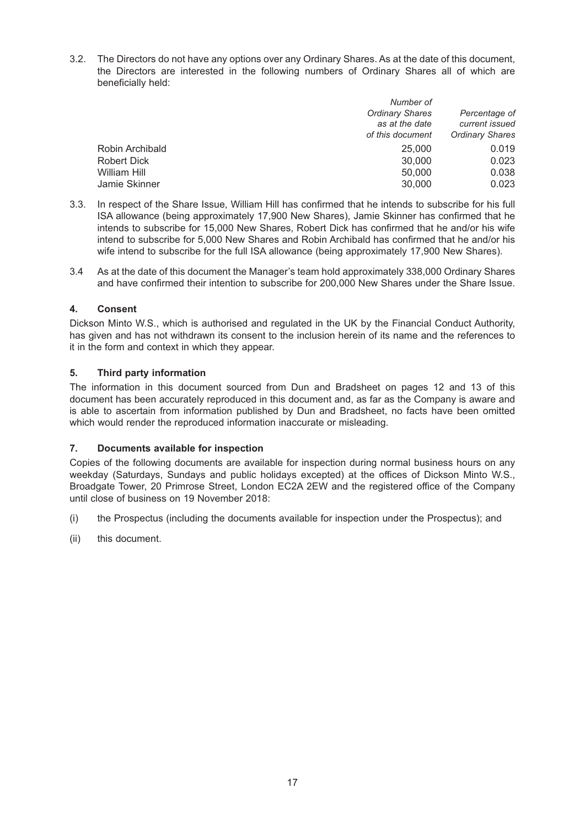3.2. The Directors do not have any options over any Ordinary Shares. As at the date of this document, the Directors are interested in the following numbers of Ordinary Shares all of which are beneficially held:

|                 | Number of              |                        |
|-----------------|------------------------|------------------------|
|                 | <b>Ordinary Shares</b> | Percentage of          |
|                 | as at the date         | current issued         |
|                 | of this document       | <b>Ordinary Shares</b> |
| Robin Archibald | 25,000                 | 0.019                  |
| Robert Dick     | 30,000                 | 0.023                  |
| William Hill    | 50,000                 | 0.038                  |
| Jamie Skinner   | 30,000                 | 0.023                  |
|                 |                        |                        |

- 3.3. In respect of the Share Issue, William Hill has confirmed that he intends to subscribe for his full ISA allowance (being approximately 17,900 New Shares), Jamie Skinner has confirmed that he intends to subscribe for 15,000 New Shares, Robert Dick has confirmed that he and/or his wife intend to subscribe for 5,000 New Shares and Robin Archibald has confirmed that he and/or his wife intend to subscribe for the full ISA allowance (being approximately 17,900 New Shares).
- 3.4 As at the date of this document the Manager's team hold approximately 338,000 Ordinary Shares and have confirmed their intention to subscribe for 200,000 New Shares under the Share Issue.

## **4. Consent**

Dickson Minto W.S., which is authorised and regulated in the UK by the Financial Conduct Authority, has given and has not withdrawn its consent to the inclusion herein of its name and the references to it in the form and context in which they appear.

## **5. Third party information**

The information in this document sourced from Dun and Bradsheet on pages 12 and 13 of this document has been accurately reproduced in this document and, as far as the Company is aware and is able to ascertain from information published by Dun and Bradsheet, no facts have been omitted which would render the reproduced information inaccurate or misleading.

## **7. Documents available for inspection**

Copies of the following documents are available for inspection during normal business hours on any weekday (Saturdays, Sundays and public holidays excepted) at the offices of Dickson Minto W.S., Broadgate Tower, 20 Primrose Street, London EC2A 2EW and the registered office of the Company until close of business on 19 November 2018:

- (i) the Prospectus (including the documents available for inspection under the Prospectus); and
- (ii) this document.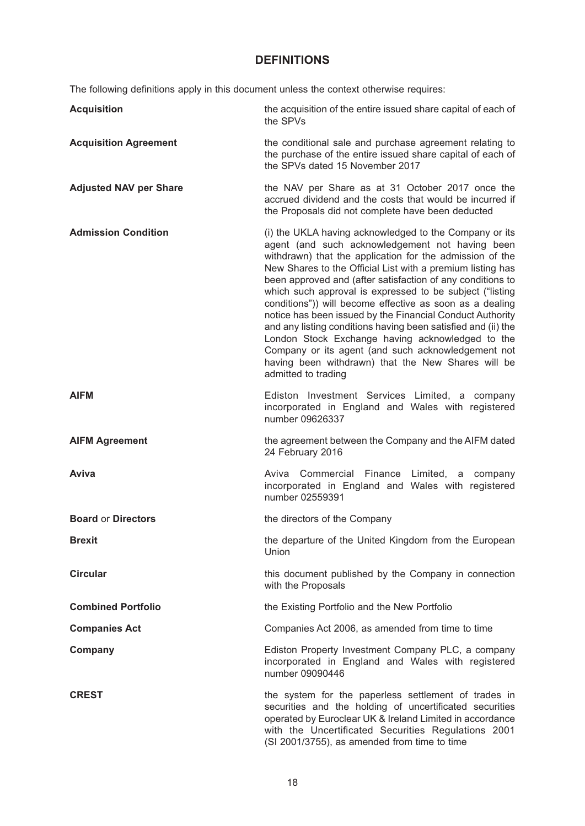## **DEFINITIONS**

The following definitions apply in this document unless the context otherwise requires:

| <b>Acquisition</b>            | the acquisition of the entire issued share capital of each of<br>the SPVs                                                                                                                                                                                                                                                                                                                                                                                                                                                                                                                                                                                                                                                                      |
|-------------------------------|------------------------------------------------------------------------------------------------------------------------------------------------------------------------------------------------------------------------------------------------------------------------------------------------------------------------------------------------------------------------------------------------------------------------------------------------------------------------------------------------------------------------------------------------------------------------------------------------------------------------------------------------------------------------------------------------------------------------------------------------|
| <b>Acquisition Agreement</b>  | the conditional sale and purchase agreement relating to<br>the purchase of the entire issued share capital of each of<br>the SPVs dated 15 November 2017                                                                                                                                                                                                                                                                                                                                                                                                                                                                                                                                                                                       |
| <b>Adjusted NAV per Share</b> | the NAV per Share as at 31 October 2017 once the<br>accrued dividend and the costs that would be incurred if<br>the Proposals did not complete have been deducted                                                                                                                                                                                                                                                                                                                                                                                                                                                                                                                                                                              |
| <b>Admission Condition</b>    | (i) the UKLA having acknowledged to the Company or its<br>agent (and such acknowledgement not having been<br>withdrawn) that the application for the admission of the<br>New Shares to the Official List with a premium listing has<br>been approved and (after satisfaction of any conditions to<br>which such approval is expressed to be subject ("listing<br>conditions")) will become effective as soon as a dealing<br>notice has been issued by the Financial Conduct Authority<br>and any listing conditions having been satisfied and (ii) the<br>London Stock Exchange having acknowledged to the<br>Company or its agent (and such acknowledgement not<br>having been withdrawn) that the New Shares will be<br>admitted to trading |
| <b>AIFM</b>                   | Ediston Investment Services Limited, a company<br>incorporated in England and Wales with registered<br>number 09626337                                                                                                                                                                                                                                                                                                                                                                                                                                                                                                                                                                                                                         |
| <b>AIFM Agreement</b>         | the agreement between the Company and the AIFM dated<br>24 February 2016                                                                                                                                                                                                                                                                                                                                                                                                                                                                                                                                                                                                                                                                       |
| Aviva                         | Aviva Commercial Finance Limited, a company<br>incorporated in England and Wales with registered<br>number 02559391                                                                                                                                                                                                                                                                                                                                                                                                                                                                                                                                                                                                                            |
| <b>Board or Directors</b>     | the directors of the Company                                                                                                                                                                                                                                                                                                                                                                                                                                                                                                                                                                                                                                                                                                                   |
| <b>Brexit</b>                 | the departure of the United Kingdom from the European<br>Union                                                                                                                                                                                                                                                                                                                                                                                                                                                                                                                                                                                                                                                                                 |
| <b>Circular</b>               | this document published by the Company in connection<br>with the Proposals                                                                                                                                                                                                                                                                                                                                                                                                                                                                                                                                                                                                                                                                     |
| <b>Combined Portfolio</b>     | the Existing Portfolio and the New Portfolio                                                                                                                                                                                                                                                                                                                                                                                                                                                                                                                                                                                                                                                                                                   |
| <b>Companies Act</b>          | Companies Act 2006, as amended from time to time                                                                                                                                                                                                                                                                                                                                                                                                                                                                                                                                                                                                                                                                                               |
| Company                       | Ediston Property Investment Company PLC, a company<br>incorporated in England and Wales with registered<br>number 09090446                                                                                                                                                                                                                                                                                                                                                                                                                                                                                                                                                                                                                     |
| <b>CREST</b>                  | the system for the paperless settlement of trades in<br>securities and the holding of uncertificated securities<br>operated by Euroclear UK & Ireland Limited in accordance<br>with the Uncertificated Securities Regulations 2001<br>(SI 2001/3755), as amended from time to time                                                                                                                                                                                                                                                                                                                                                                                                                                                             |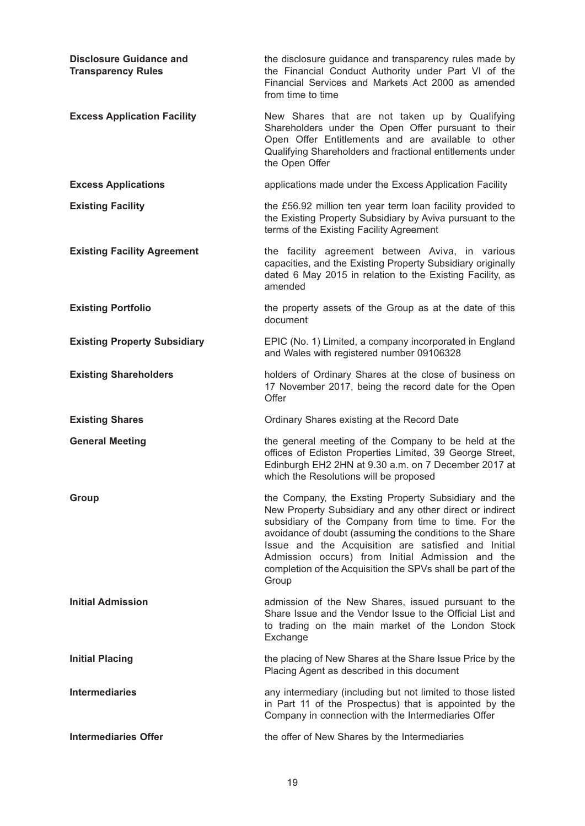| <b>Disclosure Guidance and</b><br><b>Transparency Rules</b> | the disclosure guidance and transparency rules made by<br>the Financial Conduct Authority under Part VI of the<br>Financial Services and Markets Act 2000 as amended<br>from time to time                                                                                                                                                                                                                               |
|-------------------------------------------------------------|-------------------------------------------------------------------------------------------------------------------------------------------------------------------------------------------------------------------------------------------------------------------------------------------------------------------------------------------------------------------------------------------------------------------------|
| <b>Excess Application Facility</b>                          | New Shares that are not taken up by Qualifying<br>Shareholders under the Open Offer pursuant to their<br>Open Offer Entitlements and are available to other<br>Qualifying Shareholders and fractional entitlements under<br>the Open Offer                                                                                                                                                                              |
| <b>Excess Applications</b>                                  | applications made under the Excess Application Facility                                                                                                                                                                                                                                                                                                                                                                 |
| <b>Existing Facility</b>                                    | the £56.92 million ten year term loan facility provided to<br>the Existing Property Subsidiary by Aviva pursuant to the<br>terms of the Existing Facility Agreement                                                                                                                                                                                                                                                     |
| <b>Existing Facility Agreement</b>                          | the facility agreement between Aviva, in various<br>capacities, and the Existing Property Subsidiary originally<br>dated 6 May 2015 in relation to the Existing Facility, as<br>amended                                                                                                                                                                                                                                 |
| <b>Existing Portfolio</b>                                   | the property assets of the Group as at the date of this<br>document                                                                                                                                                                                                                                                                                                                                                     |
| <b>Existing Property Subsidiary</b>                         | EPIC (No. 1) Limited, a company incorporated in England<br>and Wales with registered number 09106328                                                                                                                                                                                                                                                                                                                    |
| <b>Existing Shareholders</b>                                | holders of Ordinary Shares at the close of business on<br>17 November 2017, being the record date for the Open<br>Offer                                                                                                                                                                                                                                                                                                 |
| <b>Existing Shares</b>                                      | Ordinary Shares existing at the Record Date                                                                                                                                                                                                                                                                                                                                                                             |
| <b>General Meeting</b>                                      | the general meeting of the Company to be held at the<br>offices of Ediston Properties Limited, 39 George Street,<br>Edinburgh EH2 2HN at 9.30 a.m. on 7 December 2017 at<br>which the Resolutions will be proposed                                                                                                                                                                                                      |
| Group                                                       | the Company, the Exsting Property Subsidiary and the<br>New Property Subsidiary and any other direct or indirect<br>subsidiary of the Company from time to time. For the<br>avoidance of doubt (assuming the conditions to the Share<br>Issue and the Acquisition are satisfied and Initial<br>Admission occurs) from Initial Admission and the<br>completion of the Acquisition the SPVs shall be part of the<br>Group |
| <b>Initial Admission</b>                                    | admission of the New Shares, issued pursuant to the<br>Share Issue and the Vendor Issue to the Official List and<br>to trading on the main market of the London Stock<br>Exchange                                                                                                                                                                                                                                       |
| <b>Initial Placing</b>                                      | the placing of New Shares at the Share Issue Price by the<br>Placing Agent as described in this document                                                                                                                                                                                                                                                                                                                |
| <b>Intermediaries</b>                                       | any intermediary (including but not limited to those listed<br>in Part 11 of the Prospectus) that is appointed by the<br>Company in connection with the Intermediaries Offer                                                                                                                                                                                                                                            |
| <b>Intermediaries Offer</b>                                 | the offer of New Shares by the Intermediaries                                                                                                                                                                                                                                                                                                                                                                           |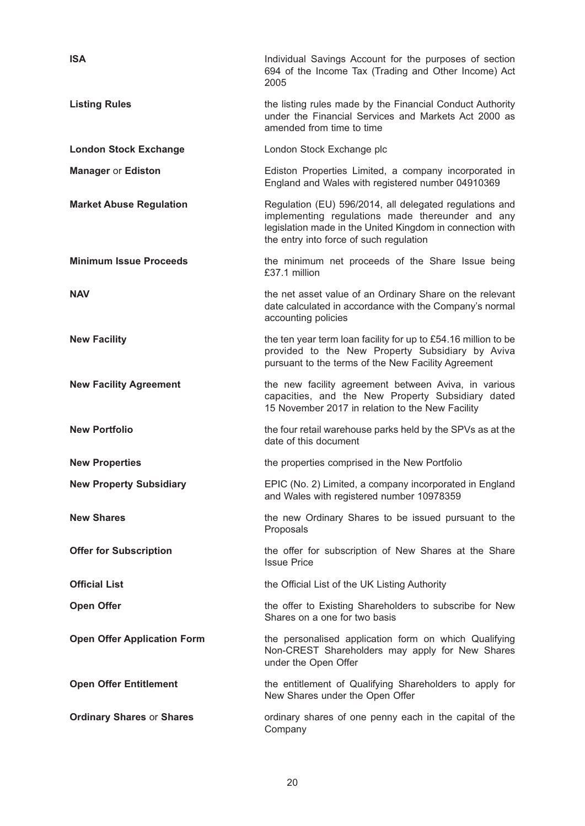| <b>ISA</b>                         | Individual Savings Account for the purposes of section<br>694 of the Income Tax (Trading and Other Income) Act<br>2005                                                                                              |
|------------------------------------|---------------------------------------------------------------------------------------------------------------------------------------------------------------------------------------------------------------------|
| <b>Listing Rules</b>               | the listing rules made by the Financial Conduct Authority<br>under the Financial Services and Markets Act 2000 as<br>amended from time to time                                                                      |
| <b>London Stock Exchange</b>       | London Stock Exchange plc                                                                                                                                                                                           |
| <b>Manager or Ediston</b>          | Ediston Properties Limited, a company incorporated in<br>England and Wales with registered number 04910369                                                                                                          |
| <b>Market Abuse Regulation</b>     | Regulation (EU) 596/2014, all delegated regulations and<br>implementing regulations made thereunder and any<br>legislation made in the United Kingdom in connection with<br>the entry into force of such regulation |
| <b>Minimum Issue Proceeds</b>      | the minimum net proceeds of the Share Issue being<br>£37.1 million                                                                                                                                                  |
| <b>NAV</b>                         | the net asset value of an Ordinary Share on the relevant<br>date calculated in accordance with the Company's normal<br>accounting policies                                                                          |
| <b>New Facility</b>                | the ten year term loan facility for up to £54.16 million to be<br>provided to the New Property Subsidiary by Aviva<br>pursuant to the terms of the New Facility Agreement                                           |
| <b>New Facility Agreement</b>      | the new facility agreement between Aviva, in various<br>capacities, and the New Property Subsidiary dated<br>15 November 2017 in relation to the New Facility                                                       |
| <b>New Portfolio</b>               | the four retail warehouse parks held by the SPVs as at the<br>date of this document                                                                                                                                 |
| <b>New Properties</b>              | the properties comprised in the New Portfolio                                                                                                                                                                       |
| <b>New Property Subsidiary</b>     | EPIC (No. 2) Limited, a company incorporated in England<br>and Wales with registered number 10978359                                                                                                                |
| <b>New Shares</b>                  | the new Ordinary Shares to be issued pursuant to the<br>Proposals                                                                                                                                                   |
| <b>Offer for Subscription</b>      | the offer for subscription of New Shares at the Share<br><b>Issue Price</b>                                                                                                                                         |
| <b>Official List</b>               | the Official List of the UK Listing Authority                                                                                                                                                                       |
| <b>Open Offer</b>                  | the offer to Existing Shareholders to subscribe for New<br>Shares on a one for two basis                                                                                                                            |
| <b>Open Offer Application Form</b> | the personalised application form on which Qualifying<br>Non-CREST Shareholders may apply for New Shares<br>under the Open Offer                                                                                    |
| <b>Open Offer Entitlement</b>      | the entitlement of Qualifying Shareholders to apply for<br>New Shares under the Open Offer                                                                                                                          |
| <b>Ordinary Shares or Shares</b>   | ordinary shares of one penny each in the capital of the<br>Company                                                                                                                                                  |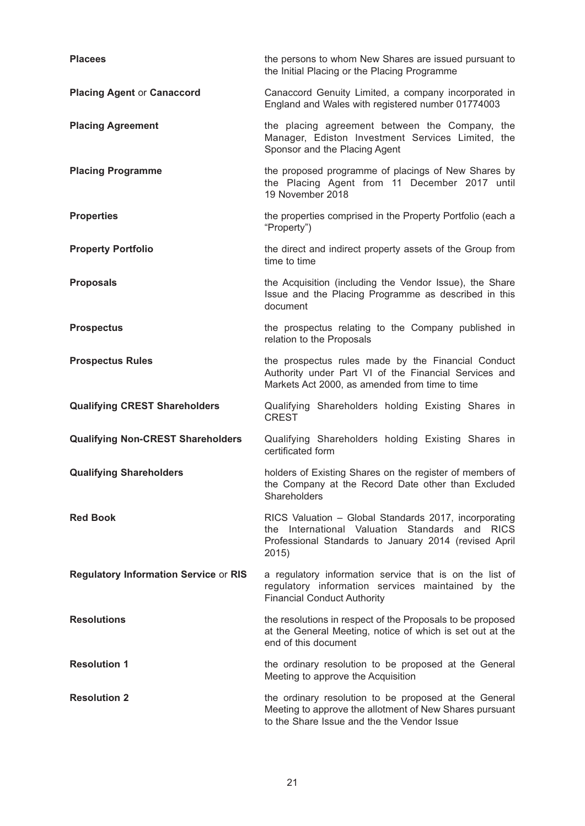| <b>Placees</b>                               | the persons to whom New Shares are issued pursuant to<br>the Initial Placing or the Placing Programme                                                                     |
|----------------------------------------------|---------------------------------------------------------------------------------------------------------------------------------------------------------------------------|
| <b>Placing Agent or Canaccord</b>            | Canaccord Genuity Limited, a company incorporated in<br>England and Wales with registered number 01774003                                                                 |
| <b>Placing Agreement</b>                     | the placing agreement between the Company, the<br>Manager, Ediston Investment Services Limited, the<br>Sponsor and the Placing Agent                                      |
| <b>Placing Programme</b>                     | the proposed programme of placings of New Shares by<br>the Placing Agent from 11 December 2017 until<br>19 November 2018                                                  |
| <b>Properties</b>                            | the properties comprised in the Property Portfolio (each a<br>"Property")                                                                                                 |
| <b>Property Portfolio</b>                    | the direct and indirect property assets of the Group from<br>time to time                                                                                                 |
| <b>Proposals</b>                             | the Acquisition (including the Vendor Issue), the Share<br>Issue and the Placing Programme as described in this<br>document                                               |
| <b>Prospectus</b>                            | the prospectus relating to the Company published in<br>relation to the Proposals                                                                                          |
| <b>Prospectus Rules</b>                      | the prospectus rules made by the Financial Conduct<br>Authority under Part VI of the Financial Services and<br>Markets Act 2000, as amended from time to time             |
| <b>Qualifying CREST Shareholders</b>         | Qualifying Shareholders holding Existing Shares in<br><b>CREST</b>                                                                                                        |
| <b>Qualifying Non-CREST Shareholders</b>     | Qualifying Shareholders holding Existing Shares in<br>certificated form                                                                                                   |
| <b>Qualifying Shareholders</b>               | holders of Existing Shares on the register of members of<br>the Company at the Record Date other than Excluded<br>Shareholders                                            |
| <b>Red Book</b>                              | RICS Valuation - Global Standards 2017, incorporating<br>the International Valuation Standards and RICS<br>Professional Standards to January 2014 (revised April<br>2015) |
| <b>Regulatory Information Service or RIS</b> | a regulatory information service that is on the list of<br>regulatory information services maintained by the<br><b>Financial Conduct Authority</b>                        |
| <b>Resolutions</b>                           | the resolutions in respect of the Proposals to be proposed<br>at the General Meeting, notice of which is set out at the<br>end of this document                           |
| <b>Resolution 1</b>                          | the ordinary resolution to be proposed at the General<br>Meeting to approve the Acquisition                                                                               |
| <b>Resolution 2</b>                          | the ordinary resolution to be proposed at the General<br>Meeting to approve the allotment of New Shares pursuant<br>to the Share Issue and the the Vendor Issue           |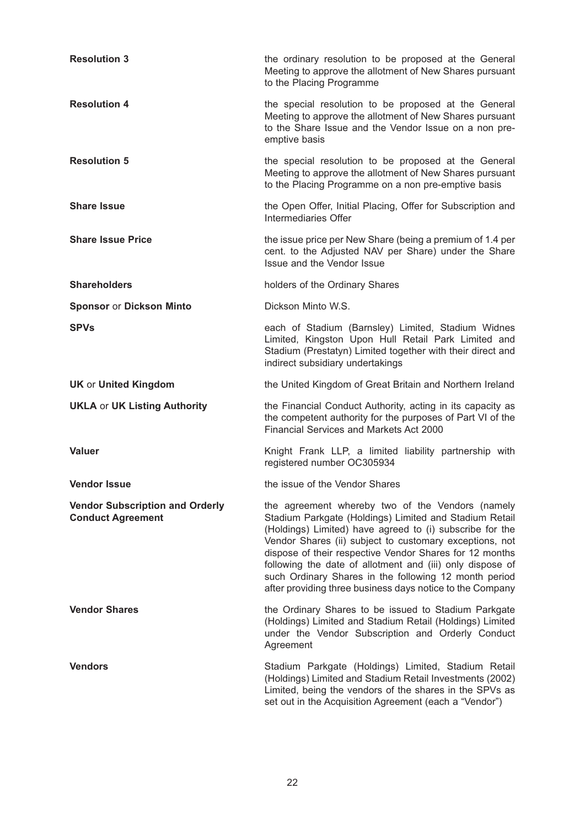| <b>Resolution 3</b>                                                | the ordinary resolution to be proposed at the General<br>Meeting to approve the allotment of New Shares pursuant<br>to the Placing Programme                                                                                                                                                                                                                                                                                                                                    |
|--------------------------------------------------------------------|---------------------------------------------------------------------------------------------------------------------------------------------------------------------------------------------------------------------------------------------------------------------------------------------------------------------------------------------------------------------------------------------------------------------------------------------------------------------------------|
| <b>Resolution 4</b>                                                | the special resolution to be proposed at the General<br>Meeting to approve the allotment of New Shares pursuant<br>to the Share Issue and the Vendor Issue on a non pre-<br>emptive basis                                                                                                                                                                                                                                                                                       |
| <b>Resolution 5</b>                                                | the special resolution to be proposed at the General<br>Meeting to approve the allotment of New Shares pursuant<br>to the Placing Programme on a non pre-emptive basis                                                                                                                                                                                                                                                                                                          |
| <b>Share Issue</b>                                                 | the Open Offer, Initial Placing, Offer for Subscription and<br>Intermediaries Offer                                                                                                                                                                                                                                                                                                                                                                                             |
| <b>Share Issue Price</b>                                           | the issue price per New Share (being a premium of 1.4 per<br>cent. to the Adjusted NAV per Share) under the Share<br>Issue and the Vendor Issue                                                                                                                                                                                                                                                                                                                                 |
| <b>Shareholders</b>                                                | holders of the Ordinary Shares                                                                                                                                                                                                                                                                                                                                                                                                                                                  |
| <b>Sponsor or Dickson Minto</b>                                    | Dickson Minto W.S.                                                                                                                                                                                                                                                                                                                                                                                                                                                              |
| <b>SPVs</b>                                                        | each of Stadium (Barnsley) Limited, Stadium Widnes<br>Limited, Kingston Upon Hull Retail Park Limited and<br>Stadium (Prestatyn) Limited together with their direct and<br>indirect subsidiary undertakings                                                                                                                                                                                                                                                                     |
| <b>UK or United Kingdom</b>                                        | the United Kingdom of Great Britain and Northern Ireland                                                                                                                                                                                                                                                                                                                                                                                                                        |
| <b>UKLA or UK Listing Authority</b>                                | the Financial Conduct Authority, acting in its capacity as<br>the competent authority for the purposes of Part VI of the<br><b>Financial Services and Markets Act 2000</b>                                                                                                                                                                                                                                                                                                      |
| <b>Valuer</b>                                                      | Knight Frank LLP, a limited liability partnership with<br>registered number OC305934                                                                                                                                                                                                                                                                                                                                                                                            |
| <b>Vendor Issue</b>                                                | the issue of the Vendor Shares                                                                                                                                                                                                                                                                                                                                                                                                                                                  |
| <b>Vendor Subscription and Orderly</b><br><b>Conduct Agreement</b> | the agreement whereby two of the Vendors (namely<br>Stadium Parkgate (Holdings) Limited and Stadium Retail<br>(Holdings) Limited) have agreed to (i) subscribe for the<br>Vendor Shares (ii) subject to customary exceptions, not<br>dispose of their respective Vendor Shares for 12 months<br>following the date of allotment and (iii) only dispose of<br>such Ordinary Shares in the following 12 month period<br>after providing three business days notice to the Company |
| <b>Vendor Shares</b>                                               | the Ordinary Shares to be issued to Stadium Parkgate<br>(Holdings) Limited and Stadium Retail (Holdings) Limited<br>under the Vendor Subscription and Orderly Conduct<br>Agreement                                                                                                                                                                                                                                                                                              |
| <b>Vendors</b>                                                     | Stadium Parkgate (Holdings) Limited, Stadium Retail<br>(Holdings) Limited and Stadium Retail Investments (2002)<br>Limited, being the vendors of the shares in the SPVs as<br>set out in the Acquisition Agreement (each a "Vendor")                                                                                                                                                                                                                                            |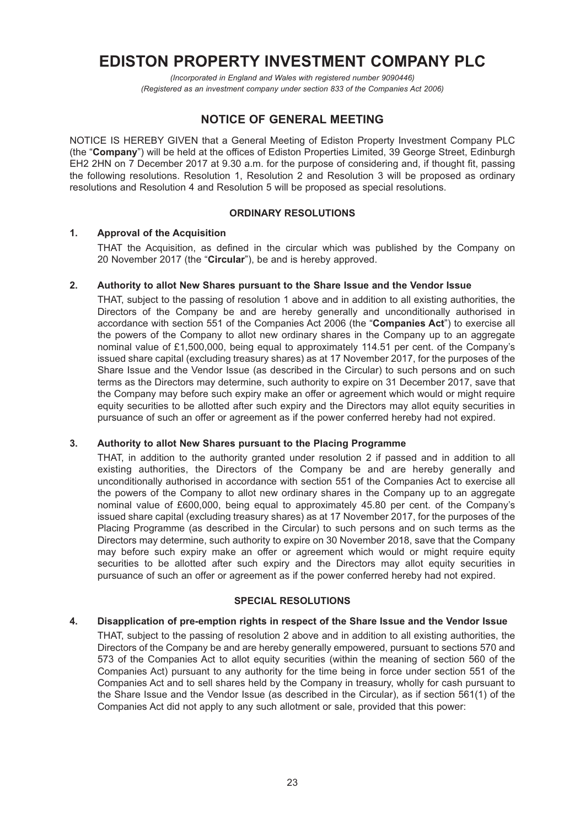# **EDISTON PROPERTY INVESTMENT COMPANY PLC**

*(Incorporated in England and Wales with registered number 9090446) (Registered as an investment company under section 833 of the Companies Act 2006)*

## **NOTICE OF GENERAL MEETING**

NOTICE IS HEREBY GIVEN that a General Meeting of Ediston Property Investment Company PLC (the "**Company**") will be held at the offices of Ediston Properties Limited, 39 George Street, Edinburgh EH2 2HN on 7 December 2017 at 9.30 a.m. for the purpose of considering and, if thought fit, passing the following resolutions. Resolution 1, Resolution 2 and Resolution 3 will be proposed as ordinary resolutions and Resolution 4 and Resolution 5 will be proposed as special resolutions.

## **ORDINARY RESOLUTIONS**

## **1. Approval of the Acquisition**

THAT the Acquisition, as defined in the circular which was published by the Company on 20 November 2017 (the "**Circular**"), be and is hereby approved.

## **2. Authority to allot New Shares pursuant to the Share Issue and the Vendor Issue**

THAT, subject to the passing of resolution 1 above and in addition to all existing authorities, the Directors of the Company be and are hereby generally and unconditionally authorised in accordance with section 551 of the Companies Act 2006 (the "**Companies Act**") to exercise all the powers of the Company to allot new ordinary shares in the Company up to an aggregate nominal value of £1,500,000, being equal to approximately 114.51 per cent. of the Company's issued share capital (excluding treasury shares) as at 17 November 2017, for the purposes of the Share Issue and the Vendor Issue (as described in the Circular) to such persons and on such terms as the Directors may determine, such authority to expire on 31 December 2017, save that the Company may before such expiry make an offer or agreement which would or might require equity securities to be allotted after such expiry and the Directors may allot equity securities in pursuance of such an offer or agreement as if the power conferred hereby had not expired.

## **3. Authority to allot New Shares pursuant to the Placing Programme**

THAT, in addition to the authority granted under resolution 2 if passed and in addition to all existing authorities, the Directors of the Company be and are hereby generally and unconditionally authorised in accordance with section 551 of the Companies Act to exercise all the powers of the Company to allot new ordinary shares in the Company up to an aggregate nominal value of £600,000, being equal to approximately 45.80 per cent. of the Company's issued share capital (excluding treasury shares) as at 17 November 2017, for the purposes of the Placing Programme (as described in the Circular) to such persons and on such terms as the Directors may determine, such authority to expire on 30 November 2018, save that the Company may before such expiry make an offer or agreement which would or might require equity securities to be allotted after such expiry and the Directors may allot equity securities in pursuance of such an offer or agreement as if the power conferred hereby had not expired.

## **SPECIAL RESOLUTIONS**

## **4. Disapplication of pre-emption rights in respect of the Share Issue and the Vendor Issue**

THAT, subject to the passing of resolution 2 above and in addition to all existing authorities, the Directors of the Company be and are hereby generally empowered, pursuant to sections 570 and 573 of the Companies Act to allot equity securities (within the meaning of section 560 of the Companies Act) pursuant to any authority for the time being in force under section 551 of the Companies Act and to sell shares held by the Company in treasury, wholly for cash pursuant to the Share Issue and the Vendor Issue (as described in the Circular), as if section 561(1) of the Companies Act did not apply to any such allotment or sale, provided that this power: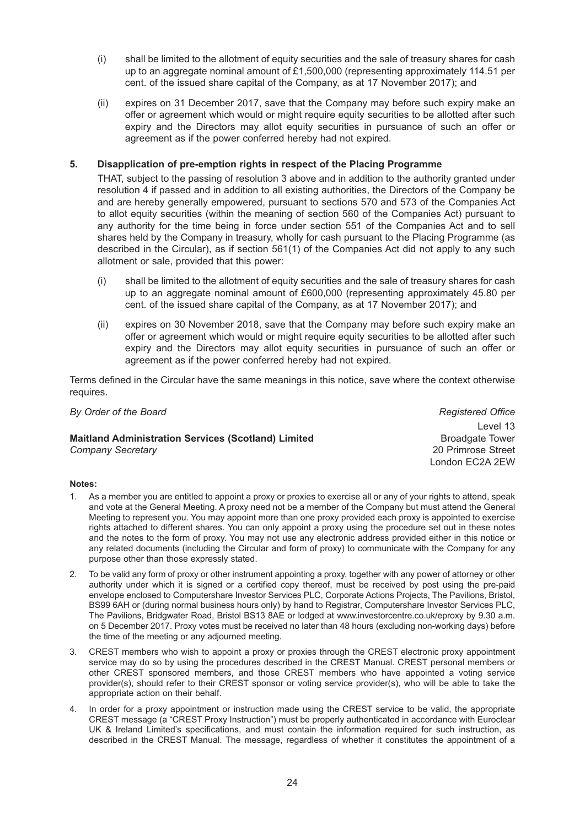- (i) shall be limited to the allotment of equity securities and the sale of treasury shares for cash up to an aggregate nominal amount of £1,500,000 (representing approximately 114.51 per cent. of the issued share capital of the Company, as at 17 November 2017); and
- (ii) expires on 31 December 2017, save that the Company may before such expiry make an offer or agreement which would or might require equity securities to be allotted after such expiry and the Directors may allot equity securities in pursuance of such an offer or agreement as if the power conferred hereby had not expired.

## **5. Disapplication of pre-emption rights in respect of the Placing Programme**

THAT, subject to the passing of resolution 3 above and in addition to the authority granted under resolution 4 if passed and in addition to all existing authorities, the Directors of the Company be and are hereby generally empowered, pursuant to sections 570 and 573 of the Companies Act to allot equity securities (within the meaning of section 560 of the Companies Act) pursuant to any authority for the time being in force under section 551 of the Companies Act and to sell shares held by the Company in treasury, wholly for cash pursuant to the Placing Programme (as described in the Circular), as if section 561(1) of the Companies Act did not apply to any such allotment or sale, provided that this power:

- (i) shall be limited to the allotment of equity securities and the sale of treasury shares for cash up to an aggregate nominal amount of £600,000 (representing approximately 45.80 per cent. of the issued share capital of the Company, as at 17 November 2017); and
- (ii) expires on 30 November 2018, save that the Company may before such expiry make an offer or agreement which would or might require equity securities to be allotted after such expiry and the Directors may allot equity securities in pursuance of such an offer or agreement as if the power conferred hereby had not expired.

Terms defined in the Circular have the same meanings in this notice, save where the context otherwise requires.

*By Order of the Board Registered Office*

#### **Maitland Administration Services (Scotland) Limited<br>
Company Secretary<br>
20 Primrose Street** *Company Secretary*

Level 13 London EC2A 2EW

#### **Notes:**

- 1. As a member you are entitled to appoint a proxy or proxies to exercise all or any of your rights to attend, speak and vote at the General Meeting. A proxy need not be a member of the Company but must attend the General Meeting to represent you. You may appoint more than one proxy provided each proxy is appointed to exercise rights attached to different shares. You can only appoint a proxy using the procedure set out in these notes and the notes to the form of proxy. You may not use any electronic address provided either in this notice or any related documents (including the Circular and form of proxy) to communicate with the Company for any purpose other than those expressly stated.
- 2. To be valid any form of proxy or other instrument appointing a proxy, together with any power of attorney or other authority under which it is signed or a certified copy thereof, must be received by post using the pre-paid envelope enclosed to Computershare Investor Services PLC, Corporate Actions Projects, The Pavilions, Bristol, BS99 6AH or (during normal business hours only) by hand to Registrar, Computershare Investor Services PLC, The Pavilions, Bridgwater Road, Bristol BS13 8AE or lodged at www.investorcentre.co.uk/eproxy by 9.30 a.m. on 5 December 2017. Proxy votes must be received no later than 48 hours (excluding non-working days) before the time of the meeting or any adjourned meeting.
- 3. CREST members who wish to appoint a proxy or proxies through the CREST electronic proxy appointment service may do so by using the procedures described in the CREST Manual. CREST personal members or other CREST sponsored members, and those CREST members who have appointed a voting service provider(s), should refer to their CREST sponsor or voting service provider(s), who will be able to take the appropriate action on their behalf.
- 4. In order for a proxy appointment or instruction made using the CREST service to be valid, the appropriate CREST message (a "CREST Proxy Instruction") must be properly authenticated in accordance with Euroclear UK & Ireland Limited's specifications, and must contain the information required for such instruction, as described in the CREST Manual. The message, regardless of whether it constitutes the appointment of a